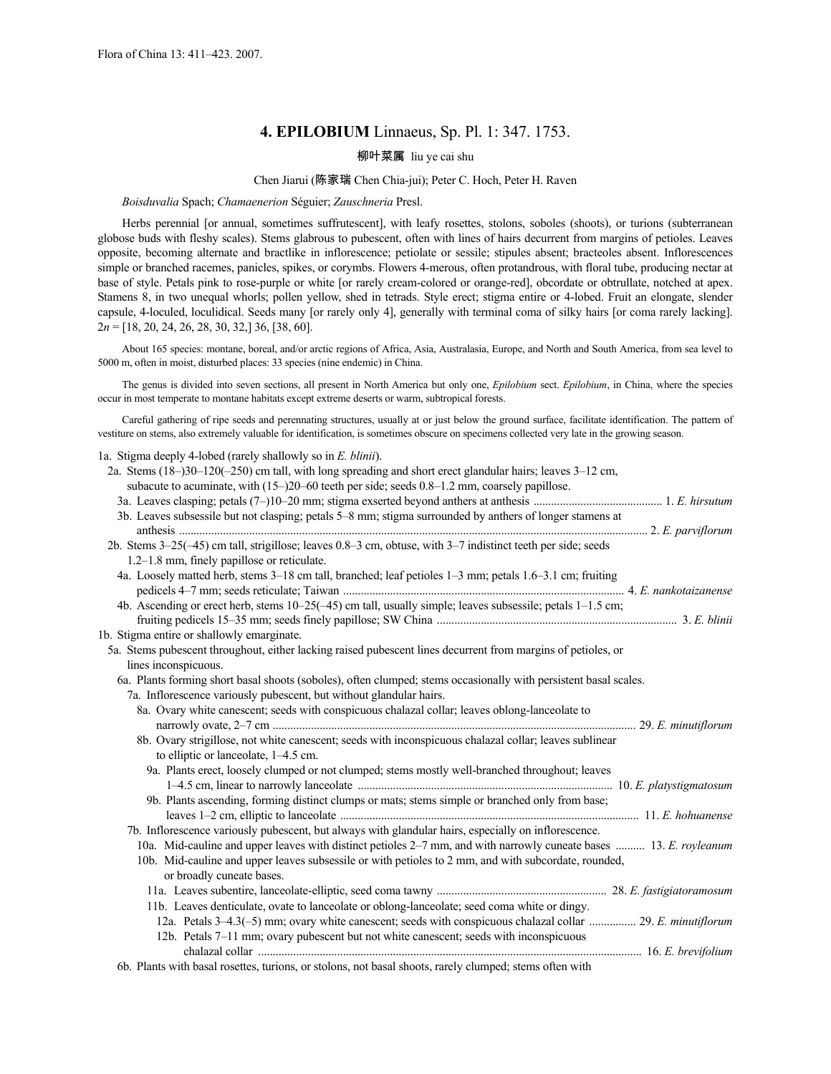# **4. EPILOBIUM** Linnaeus, Sp. Pl. 1: 347. 1753.

# 柳叶菜属 liu ye cai shu

# Chen Jiarui (陈家瑞 Chen Chia-jui); Peter C. Hoch, Peter H. Raven

#### *Boisduvalia* Spach; *Chamaenerion* Séguier; *Zauschneria* Presl.

Herbs perennial [or annual, sometimes suffrutescent], with leafy rosettes, stolons, soboles (shoots), or turions (subterranean globose buds with fleshy scales). Stems glabrous to pubescent, often with lines of hairs decurrent from margins of petioles. Leaves opposite, becoming alternate and bractlike in inflorescence; petiolate or sessile; stipules absent; bracteoles absent. Inflorescences simple or branched racemes, panicles, spikes, or corymbs. Flowers 4-merous, often protandrous, with floral tube, producing nectar at base of style. Petals pink to rose-purple or white [or rarely cream-colored or orange-red], obcordate or obtrullate, notched at apex. Stamens 8, in two unequal whorls; pollen yellow, shed in tetrads. Style erect; stigma entire or 4-lobed. Fruit an elongate, slender capsule, 4-loculed, loculidical. Seeds many [or rarely only 4], generally with terminal coma of silky hairs [or coma rarely lacking]. 2*n* = [18, 20, 24, 26, 28, 30, 32,] 36, [38, 60].

About 165 species: montane, boreal, and/or arctic regions of Africa, Asia, Australasia, Europe, and North and South America, from sea level to 5000 m, often in moist, disturbed places: 33 species (nine endemic) in China.

The genus is divided into seven sections, all present in North America but only one, *Epilobium* sect. *Epilobium*, in China, where the species occur in most temperate to montane habitats except extreme deserts or warm, subtropical forests.

Careful gathering of ripe seeds and perennating structures, usually at or just below the ground surface, facilitate identification. The pattern of vestiture on stems, also extremely valuable for identification, is sometimes obscure on specimens collected very late in the growing season.

1a. Stigma deeply 4-lobed (rarely shallowly so in *E. blinii*).

| 2a. Stems $(18-)30-120(-250)$ cm tall, with long spreading and short erect glandular hairs; leaves $3-12$ cm,<br>subacute to acuminate, with $(15-20-60$ teeth per side; seeds $0.8-1.2$ mm, coarsely papillose. |  |
|------------------------------------------------------------------------------------------------------------------------------------------------------------------------------------------------------------------|--|
|                                                                                                                                                                                                                  |  |
| 3b. Leaves subsessile but not clasping; petals 5–8 mm; stigma surrounded by anthers of longer stamens at                                                                                                         |  |
| 2b. Stems 3-25(-45) cm tall, strigillose; leaves 0.8–3 cm, obtuse, with 3–7 indistinct teeth per side; seeds                                                                                                     |  |
| 1.2-1.8 mm, finely papillose or reticulate.                                                                                                                                                                      |  |
| 4a. Loosely matted herb, stems 3–18 cm tall, branched; leaf petioles 1–3 mm; petals 1.6–3.1 cm; fruiting                                                                                                         |  |
|                                                                                                                                                                                                                  |  |
| 4b. Ascending or erect herb, stems 10–25(-45) cm tall, usually simple; leaves subsessile; petals 1–1.5 cm;                                                                                                       |  |
|                                                                                                                                                                                                                  |  |
| 1b. Stigma entire or shallowly emarginate.                                                                                                                                                                       |  |
| 5a. Stems pubescent throughout, either lacking raised pubescent lines decurrent from margins of petioles, or                                                                                                     |  |
| lines inconspicuous.                                                                                                                                                                                             |  |
| 6a. Plants forming short basal shoots (soboles), often clumped; stems occasionally with persistent basal scales.                                                                                                 |  |
| 7a. Inflorescence variously pubescent, but without glandular hairs.                                                                                                                                              |  |
| 8a. Ovary white can scenari; seeds with conspicuous chalazal collar; leaves oblong-lanceolate to                                                                                                                 |  |
|                                                                                                                                                                                                                  |  |
| 8b. Ovary strigillose, not white canescent; seeds with inconspicuous chalazal collar; leaves sublinear                                                                                                           |  |
| to elliptic or lanceolate, 1–4.5 cm.                                                                                                                                                                             |  |
| 9a. Plants erect, loosely clumped or not clumped; stems mostly well-branched throughout; leaves                                                                                                                  |  |
|                                                                                                                                                                                                                  |  |
| 9b. Plants ascending, forming distinct clumps or mats; stems simple or branched only from base;                                                                                                                  |  |
|                                                                                                                                                                                                                  |  |
| 7b. Inflorescence variously pubescent, but always with glandular hairs, especially on inflorescence.                                                                                                             |  |
| 10a. Mid-cauline and upper leaves with distinct petioles 2–7 mm, and with narrowly cuneate bases  13. E. royleanum                                                                                               |  |
| 10b. Mid-cauline and upper leaves subsessile or with petioles to 2 mm, and with subcordate, rounded,<br>or broadly cuneate bases.                                                                                |  |
|                                                                                                                                                                                                                  |  |
| 11b. Leaves denticulate, ovate to lanceolate or oblong-lanceolate; seed coma white or dingy.                                                                                                                     |  |
| 12a. Petals 3-4.3(-5) mm; ovary white canescent; seeds with conspicuous chalazal collar  29. E. minutiflorum                                                                                                     |  |
| 12b. Petals 7–11 mm; ovary pubescent but not white canescent; seeds with inconspicuous                                                                                                                           |  |
|                                                                                                                                                                                                                  |  |
|                                                                                                                                                                                                                  |  |

6b. Plants with basal rosettes, turions, or stolons, not basal shoots, rarely clumped; stems often with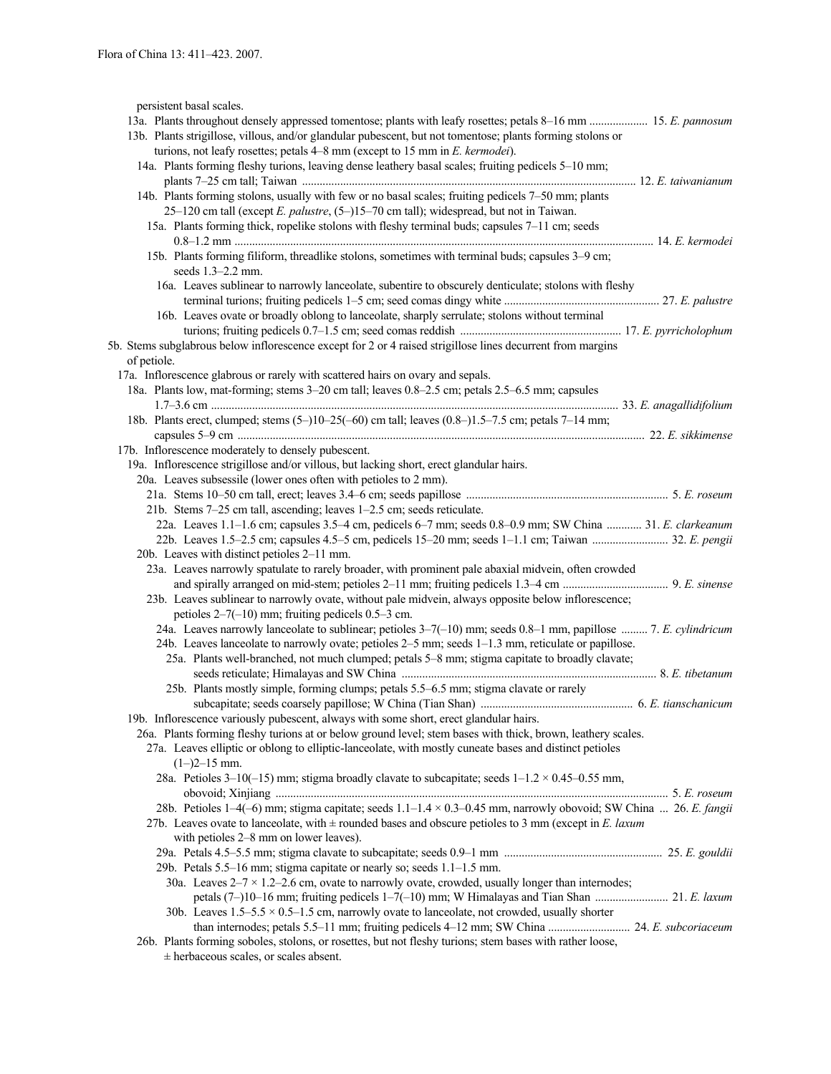persistent basal scales.

| persistent ousur searcs.                                                                                          |
|-------------------------------------------------------------------------------------------------------------------|
| 13a. Plants throughout densely appressed tomentose; plants with leafy rosettes; petals 8-16 mm  15. E. pannosum   |
| 13b. Plants strigillose, villous, and/or glandular pubescent, but not tomentose; plants forming stolons or        |
| turions, not leafy rosettes; petals $4-8$ mm (except to 15 mm in E. kermodei).                                    |
| 14a. Plants forming fleshy turions, leaving dense leathery basal scales; fruiting pedicels 5-10 mm;               |
|                                                                                                                   |
| 14b. Plants forming stolons, usually with few or no basal scales; fruiting pedicels 7–50 mm; plants               |
| 25-120 cm tall (except E. palustre, (5-)15-70 cm tall); widespread, but not in Taiwan.                            |
| 15a. Plants forming thick, ropelike stolons with fleshy terminal buds; capsules 7-11 cm; seeds                    |
|                                                                                                                   |
|                                                                                                                   |
| 15b. Plants forming filiform, threadlike stolons, sometimes with terminal buds; capsules 3–9 cm;                  |
| seeds $1.3 - 2.2$ mm.                                                                                             |
| 16a. Leaves sublinear to narrowly lanceolate, subentire to obscurely denticulate; stolons with fleshy             |
|                                                                                                                   |
| 16b. Leaves ovate or broadly oblong to lanceolate, sharply serrulate; stolons without terminal                    |
|                                                                                                                   |
| 5b. Stems subglabrous below inflorescence except for 2 or 4 raised strigillose lines decurrent from margins       |
| of petiole.                                                                                                       |
| 17a. Inflorescence glabrous or rarely with scattered hairs on ovary and sepals.                                   |
| 18a. Plants low, mat-forming; stems 3-20 cm tall; leaves 0.8-2.5 cm; petals 2.5-6.5 mm; capsules                  |
|                                                                                                                   |
|                                                                                                                   |
| 18b. Plants erect, clumped; stems (5-)10-25(-60) cm tall; leaves (0.8-)1.5-7.5 cm; petals 7-14 mm;                |
|                                                                                                                   |
| 17b. Inflorescence moderately to densely pubescent.                                                               |
| 19a. Inflorescence strigillose and/or villous, but lacking short, erect glandular hairs.                          |
| 20a. Leaves subsessile (lower ones often with petioles to 2 mm).                                                  |
|                                                                                                                   |
| 21b. Stems 7-25 cm tall, ascending; leaves 1-2.5 cm; seeds reticulate.                                            |
| 22a. Leaves 1.1-1.6 cm; capsules 3.5-4 cm, pedicels 6-7 mm; seeds 0.8-0.9 mm; SW China  31. E. clarkeanum         |
|                                                                                                                   |
|                                                                                                                   |
| 20b. Leaves with distinct petioles 2-11 mm.                                                                       |
| 23a. Leaves narrowly spatulate to rarely broader, with prominent pale abaxial midvein, often crowded              |
|                                                                                                                   |
| 23b. Leaves sublinear to narrowly ovate, without pale midvein, always opposite below inflorescence;               |
| petioles $2-7(-10)$ mm; fruiting pedicels 0.5-3 cm.                                                               |
| 24a. Leaves narrowly lanceolate to sublinear; petioles 3-7(-10) mm; seeds 0.8-1 mm, papillose  7. E. cylindricum  |
| 24b. Leaves lanceolate to narrowly ovate; petioles 2–5 mm; seeds 1–1.3 mm, reticulate or papillose.               |
| 25a. Plants well-branched, not much clumped; petals 5-8 mm; stigma capitate to broadly clavate;                   |
|                                                                                                                   |
| 25b. Plants mostly simple, forming clumps; petals 5.5–6.5 mm; stigma clavate or rarely                            |
|                                                                                                                   |
|                                                                                                                   |
| 19b. Inflorescence variously pubescent, always with some short, erect glandular hairs.                            |
| 26a. Plants forming fleshy turions at or below ground level; stem bases with thick, brown, leathery scales.       |
| 27a. Leaves elliptic or oblong to elliptic-lanceolate, with mostly cuneate bases and distinct petioles            |
| $(1-)2-15$ mm.                                                                                                    |
| 28a. Petioles 3-10(-15) mm; stigma broadly clavate to subcapitate; seeds $1-1.2 \times 0.45-0.55$ mm,             |
|                                                                                                                   |
| 28b. Petioles 1–4(-6) mm; stigma capitate; seeds 1.1–1.4 × 0.3–0.45 mm, narrowly obovoid; SW China  26. E. fangii |
| 27b. Leaves ovate to lanceolate, with $\pm$ rounded bases and obscure petioles to 3 mm (except in E. laxum        |
| with petioles 2–8 mm on lower leaves).                                                                            |
|                                                                                                                   |
|                                                                                                                   |
| 29b. Petals 5.5–16 mm; stigma capitate or nearly so; seeds 1.1–1.5 mm.                                            |
| 30a. Leaves $2-7 \times 1.2-2.6$ cm, ovate to narrowly ovate, crowded, usually longer than internodes;            |
|                                                                                                                   |
| 30b. Leaves $1.5-5.5 \times 0.5-1.5$ cm, narrowly ovate to lanceolate, not crowded, usually shorter               |
|                                                                                                                   |
| 26b. Plants forming soboles, stolons, or rosettes, but not fleshy turions; stem bases with rather loose,          |
|                                                                                                                   |

± herbaceous scales, or scales absent.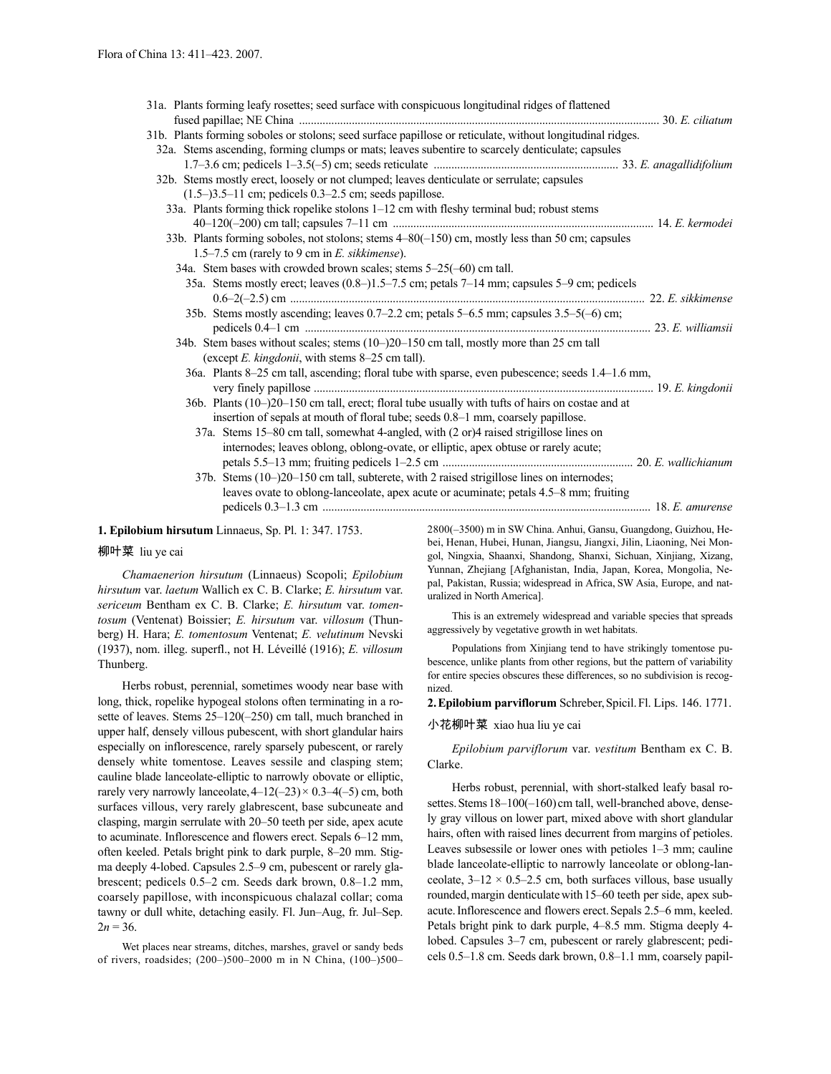| 31a. Plants forming leafy rosettes; seed surface with conspicuous longitudinal ridges of flattened                                               |  |
|--------------------------------------------------------------------------------------------------------------------------------------------------|--|
|                                                                                                                                                  |  |
| 31b. Plants forming soboles or stolons; seed surface papillose or reticulate, without longitudinal ridges.                                       |  |
| 32a. Stems ascending, forming clumps or mats; leaves subentire to scarcely denticulate; capsules                                                 |  |
|                                                                                                                                                  |  |
| 32b. Stems mostly erect, loosely or not clumped; leaves denticulate or serrulate; capsules                                                       |  |
| $(1.5-)3.5-11$ cm; pedicels 0.3-2.5 cm; seeds papillose.                                                                                         |  |
| 33a. Plants forming thick ropelike stolons 1-12 cm with fleshy terminal bud; robust stems                                                        |  |
|                                                                                                                                                  |  |
| 33b. Plants forming soboles, not stolons; stems 4–80(-150) cm, mostly less than 50 cm; capsules<br>1.5–7.5 cm (rarely to 9 cm in E. sikkimense). |  |
| 34a. Stem bases with crowded brown scales; stems 5–25(–60) cm tall.                                                                              |  |
| 35a. Stems mostly erect; leaves (0.8–)1.5–7.5 cm; petals 7–14 mm; capsules 5–9 cm; pedicels                                                      |  |
| 35b. Stems mostly ascending; leaves 0.7-2.2 cm; petals 5-6.5 mm; capsules 3.5-5(-6) cm;                                                          |  |
|                                                                                                                                                  |  |
| 34b. Stem bases without scales; stems (10-)20-150 cm tall, mostly more than 25 cm tall                                                           |  |
| (except <i>E. kingdonii</i> , with stems 8–25 cm tall).                                                                                          |  |
| 36a. Plants 8–25 cm tall, ascending; floral tube with sparse, even pubescence; seeds 1.4–1.6 mm,                                                 |  |
| 36b. Plants (10-)20-150 cm tall, erect; floral tube usually with tufts of hairs on costae and at                                                 |  |
| insertion of sepals at mouth of floral tube; seeds 0.8–1 mm, coarsely papillose.                                                                 |  |
| 37a. Stems 15–80 cm tall, somewhat 4-angled, with (2 or)4 raised strigillose lines on                                                            |  |
| internodes; leaves oblong, oblong-ovate, or elliptic, apex obtuse or rarely acute;                                                               |  |
|                                                                                                                                                  |  |
| 37b. Stems (10-)20-150 cm tall, subterete, with 2 raised strigillose lines on internodes;                                                        |  |
| leaves ovate to oblong-lanceolate, apex acute or acuminate; petals 4.5–8 mm; fruiting                                                            |  |
|                                                                                                                                                  |  |
|                                                                                                                                                  |  |

**1. Epilobium hirsutum** Linnaeus, Sp. Pl. 1: 347. 1753.

#### 柳叶菜 liu ye cai

*Chamaenerion hirsutum* (Linnaeus) Scopoli; *Epilobium hirsutum* var. *laetum* Wallich ex C. B. Clarke; *E. hirsutum* var. *sericeum* Bentham ex C. B. Clarke; *E. hirsutum* var. *tomentosum* (Ventenat) Boissier; *E. hirsutum* var. *villosum* (Thunberg) H. Hara; *E. tomentosum* Ventenat; *E. velutinum* Nevski (1937), nom. illeg. superfl., not H. Léveillé (1916); *E. villosum*  Thunberg.

Herbs robust, perennial, sometimes woody near base with long, thick, ropelike hypogeal stolons often terminating in a rosette of leaves. Stems 25–120(–250) cm tall, much branched in upper half, densely villous pubescent, with short glandular hairs especially on inflorescence, rarely sparsely pubescent, or rarely densely white tomentose. Leaves sessile and clasping stem; cauline blade lanceolate-elliptic to narrowly obovate or elliptic, rarely very narrowly lanceolate,  $4-12(-23) \times 0.3-4(-5)$  cm, both surfaces villous, very rarely glabrescent, base subcuneate and clasping, margin serrulate with 20–50 teeth per side, apex acute to acuminate. Inflorescence and flowers erect. Sepals 6–12 mm, often keeled. Petals bright pink to dark purple, 8–20 mm. Stigma deeply 4-lobed. Capsules 2.5–9 cm, pubescent or rarely glabrescent; pedicels 0.5–2 cm. Seeds dark brown, 0.8–1.2 mm, coarsely papillose, with inconspicuous chalazal collar; coma tawny or dull white, detaching easily. Fl. Jun–Aug, fr. Jul–Sep.  $2n = 36$ .

Wet places near streams, ditches, marshes, gravel or sandy beds of rivers, roadsides; (200–)500–2000 m in N China, (100–)500– 2800(–3500) m in SW China. Anhui, Gansu, Guangdong, Guizhou, Hebei, Henan, Hubei, Hunan, Jiangsu, Jiangxi, Jilin, Liaoning, Nei Mongol, Ningxia, Shaanxi, Shandong, Shanxi, Sichuan, Xinjiang, Xizang, Yunnan, Zhejiang [Afghanistan, India, Japan, Korea, Mongolia, Nepal, Pakistan, Russia; widespread in Africa, SW Asia, Europe, and naturalized in North America].

This is an extremely widespread and variable species that spreads aggressively by vegetative growth in wet habitats.

Populations from Xinjiang tend to have strikingly tomentose pubescence, unlike plants from other regions, but the pattern of variability for entire species obscures these differences, so no subdivision is recognized.

**2.Epilobium parviflorum** Schreber,Spicil.Fl. Lips. 146. 1771.

#### 小花柳叶菜 xiao hua liu ye cai

*Epilobium parviflorum* var. *vestitum* Bentham ex C. B. Clarke.

Herbs robust, perennial, with short-stalked leafy basal rosettes. Stems 18-100(-160) cm tall, well-branched above, densely gray villous on lower part, mixed above with short glandular hairs, often with raised lines decurrent from margins of petioles. Leaves subsessile or lower ones with petioles 1–3 mm; cauline blade lanceolate-elliptic to narrowly lanceolate or oblong-lanceolate,  $3-12 \times 0.5-2.5$  cm, both surfaces villous, base usually rounded, margin denticulate with 15–60 teeth per side, apex subacute.Inflorescence and flowers erect.Sepals 2.5–6 mm, keeled. Petals bright pink to dark purple, 4–8.5 mm. Stigma deeply 4 lobed. Capsules 3–7 cm, pubescent or rarely glabrescent; pedicels 0.5–1.8 cm. Seeds dark brown, 0.8–1.1 mm, coarsely papil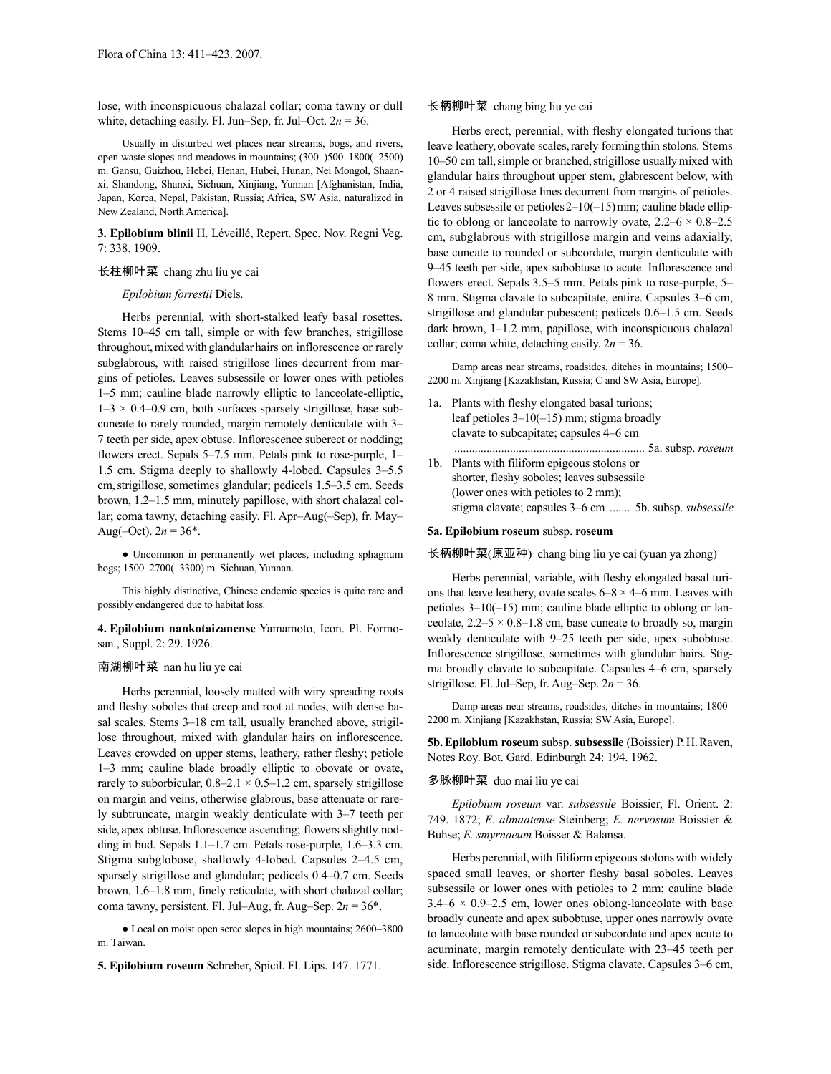lose, with inconspicuous chalazal collar; coma tawny or dull white, detaching easily. Fl. Jun–Sep, fr. Jul–Oct.  $2n = 36$ .

Usually in disturbed wet places near streams, bogs, and rivers, open waste slopes and meadows in mountains; (300–)500–1800(–2500) m. Gansu, Guizhou, Hebei, Henan, Hubei, Hunan, Nei Mongol, Shaanxi, Shandong, Shanxi, Sichuan, Xinjiang, Yunnan [Afghanistan, India, Japan, Korea, Nepal, Pakistan, Russia; Africa, SW Asia, naturalized in New Zealand, North America].

**3. Epilobium blinii** H. Léveillé, Repert. Spec. Nov. Regni Veg. 7: 338. 1909.

#### 长柱柳叶菜 chang zhu liu ye cai

#### *Epilobium forrestii* Diels.

Herbs perennial, with short-stalked leafy basal rosettes. Stems 10–45 cm tall, simple or with few branches, strigillose throughout, mixed with glandular hairs on inflorescence or rarely subglabrous, with raised strigillose lines decurrent from margins of petioles. Leaves subsessile or lower ones with petioles 1–5 mm; cauline blade narrowly elliptic to lanceolate-elliptic,  $1-3 \times 0.4-0.9$  cm, both surfaces sparsely strigillose, base subcuneate to rarely rounded, margin remotely denticulate with 3– 7 teeth per side, apex obtuse. Inflorescence suberect or nodding; flowers erect. Sepals 5–7.5 mm. Petals pink to rose-purple, 1– 1.5 cm. Stigma deeply to shallowly 4-lobed. Capsules 3–5.5 cm,strigillose,sometimes glandular; pedicels 1.5–3.5 cm. Seeds brown, 1.2–1.5 mm, minutely papillose, with short chalazal collar; coma tawny, detaching easily. Fl. Apr–Aug(–Sep), fr. May– Aug(-Oct).  $2n = 36^*$ .

• Uncommon in permanently wet places, including sphagnum bogs; 1500–2700(–3300) m. Sichuan, Yunnan.

This highly distinctive, Chinese endemic species is quite rare and possibly endangered due to habitat loss.

**4. Epilobium nankotaizanense** Yamamoto, Icon. Pl. Formosan., Suppl. 2: 29. 1926.

#### 南湖柳叶菜 nan hu liu ye cai

Herbs perennial, loosely matted with wiry spreading roots and fleshy soboles that creep and root at nodes, with dense basal scales. Stems 3–18 cm tall, usually branched above, strigillose throughout, mixed with glandular hairs on inflorescence. Leaves crowded on upper stems, leathery, rather fleshy; petiole 1–3 mm; cauline blade broadly elliptic to obovate or ovate, rarely to suborbicular,  $0.8-2.1 \times 0.5-1.2$  cm, sparsely strigillose on margin and veins, otherwise glabrous, base attenuate or rarely subtruncate, margin weakly denticulate with 3–7 teeth per side, apex obtuse.Inflorescence ascending; flowers slightly nodding in bud. Sepals 1.1–1.7 cm. Petals rose-purple, 1.6–3.3 cm. Stigma subglobose, shallowly 4-lobed. Capsules 2–4.5 cm, sparsely strigillose and glandular; pedicels 0.4–0.7 cm. Seeds brown, 1.6–1.8 mm, finely reticulate, with short chalazal collar; coma tawny, persistent. Fl. Jul–Aug, fr. Aug–Sep. 2*n* = 36\*.

● Local on moist open scree slopes in high mountains; 2600–3800 m. Taiwan.

**5. Epilobium roseum** Schreber, Spicil. Fl. Lips. 147. 1771.

#### 长柄柳叶菜 chang bing liu ye cai

Herbs erect, perennial, with fleshy elongated turions that leave leathery, obovate scales, rarely forming thin stolons. Stems 10–50 cm tall, simple or branched, strigillose usually mixed with glandular hairs throughout upper stem, glabrescent below, with 2 or 4 raised strigillose lines decurrent from margins of petioles. Leaves subsessile or petioles  $2-10(-15)$  mm; cauline blade elliptic to oblong or lanceolate to narrowly ovate,  $2.2-6 \times 0.8-2.5$ cm, subglabrous with strigillose margin and veins adaxially, base cuneate to rounded or subcordate, margin denticulate with 9–45 teeth per side, apex subobtuse to acute. Inflorescence and flowers erect. Sepals 3.5–5 mm. Petals pink to rose-purple, 5– 8 mm. Stigma clavate to subcapitate, entire. Capsules 3–6 cm, strigillose and glandular pubescent; pedicels 0.6–1.5 cm. Seeds dark brown, 1–1.2 mm, papillose, with inconspicuous chalazal collar; coma white, detaching easily.  $2n = 36$ .

Damp areas near streams, roadsides, ditches in mountains; 1500– 2200 m. Xinjiang [Kazakhstan, Russia; C and SW Asia, Europe].

1a. Plants with fleshy elongated basal turions; leaf petioles 3–10(–15) mm; stigma broadly clavate to subcapitate; capsules 4–6 cm

................................................................. 5a. subsp. *roseum*

1b. Plants with filiform epigeous stolons or shorter, fleshy soboles; leaves subsessile (lower ones with petioles to 2 mm); stigma clavate; capsules 3–6 cm ....... 5b. subsp. *subsessile*

# **5a. Epilobium roseum** subsp. **roseum**

长柄柳叶菜(原亚种) chang bing liu ye cai (yuan ya zhong)

Herbs perennial, variable, with fleshy elongated basal turions that leave leathery, ovate scales  $6-8 \times 4-6$  mm. Leaves with petioles 3–10(–15) mm; cauline blade elliptic to oblong or lanceolate,  $2.2 - 5 \times 0.8 - 1.8$  cm, base cuneate to broadly so, margin weakly denticulate with 9–25 teeth per side, apex subobtuse. Inflorescence strigillose, sometimes with glandular hairs. Stigma broadly clavate to subcapitate. Capsules 4–6 cm, sparsely strigillose. Fl. Jul–Sep, fr. Aug–Sep. 2*n* = 36.

Damp areas near streams, roadsides, ditches in mountains; 1800– 2200 m. Xinjiang [Kazakhstan, Russia; SW Asia, Europe].

**5b.Epilobium roseum** subsp. **subsessile** (Boissier) P.H.Raven, Notes Roy. Bot. Gard. Edinburgh 24: 194. 1962.

# 多脉柳叶菜 duo mai liu ye cai

*Epilobium roseum* var. *subsessile* Boissier, Fl. Orient. 2: 749. 1872; *E. almaatense* Steinberg; *E. nervosum* Boissier & Buhse; *E. smyrnaeum* Boisser & Balansa.

Herbs perennial, with filiform epigeous stolons with widely spaced small leaves, or shorter fleshy basal soboles. Leaves subsessile or lower ones with petioles to 2 mm; cauline blade  $3.4-6 \times 0.9-2.5$  cm, lower ones oblong-lanceolate with base broadly cuneate and apex subobtuse, upper ones narrowly ovate to lanceolate with base rounded or subcordate and apex acute to acuminate, margin remotely denticulate with 23–45 teeth per side. Inflorescence strigillose. Stigma clavate. Capsules 3–6 cm,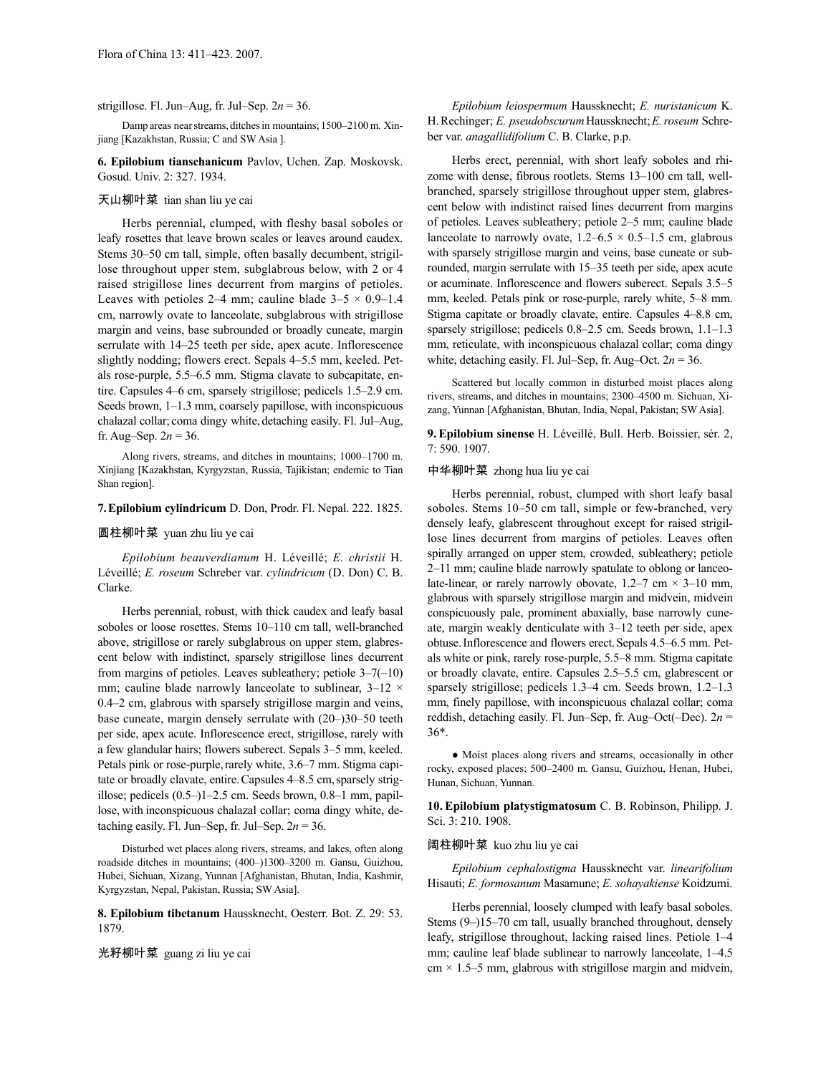#### strigillose. Fl. Jun–Aug, fr. Jul–Sep. 2*n* = 36.

Damp areas nearstreams, ditchesin mountains; 1500–2100m. Xinjiang [Kazakhstan, Russia; C and SW Asia ].

**6. Epilobium tianschanicum** Pavlov, Uchen. Zap. Moskovsk. Gosud. Univ. 2: 327. 1934.

# 天山柳叶菜 tian shan liu ye cai

Herbs perennial, clumped, with fleshy basal soboles or leafy rosettes that leave brown scales or leaves around caudex. Stems 30–50 cm tall, simple, often basally decumbent, strigillose throughout upper stem, subglabrous below, with 2 or 4 raised strigillose lines decurrent from margins of petioles. Leaves with petioles 2–4 mm; cauline blade  $3-5 \times 0.9-1.4$ cm, narrowly ovate to lanceolate, subglabrous with strigillose margin and veins, base subrounded or broadly cuneate, margin serrulate with 14–25 teeth per side, apex acute. Inflorescence slightly nodding; flowers erect. Sepals 4–5.5 mm, keeled. Petals rose-purple, 5.5–6.5 mm. Stigma clavate to subcapitate, entire. Capsules 4–6 cm, sparsely strigillose; pedicels 1.5–2.9 cm. Seeds brown, 1–1.3 mm, coarsely papillose, with inconspicuous chalazal collar; coma dingy white, detaching easily. Fl. Jul–Aug, fr. Aug–Sep.  $2n = 36$ .

Along rivers, streams, and ditches in mountains; 1000–1700 m. Xinjiang [Kazakhstan, Kyrgyzstan, Russia, Tajikistan; endemic to Tian Shan region].

# **7.Epilobium cylindricum** D. Don, Prodr. Fl. Nepal. 222. 1825.

### 圆柱柳叶菜 yuan zhu liu ye cai

*Epilobium beauverdianum* H. Léveillé; *E. christii* H. Léveillé; *E. roseum* Schreber var. *cylindricum* (D. Don) C. B. Clarke.

Herbs perennial, robust, with thick caudex and leafy basal soboles or loose rosettes. Stems 10–110 cm tall, well-branched above, strigillose or rarely subglabrous on upper stem, glabrescent below with indistinct, sparsely strigillose lines decurrent from margins of petioles. Leaves subleathery; petiole 3–7(–10) mm; cauline blade narrowly lanceolate to sublinear,  $3-12 \times$ 0.4–2 cm, glabrous with sparsely strigillose margin and veins, base cuneate, margin densely serrulate with (20–)30–50 teeth per side, apex acute. Inflorescence erect, strigillose, rarely with a few glandular hairs; flowers suberect. Sepals 3–5 mm, keeled. Petals pink or rose-purple, rarely white, 3.6–7 mm. Stigma capitate or broadly clavate, entire. Capsules 4–8.5 cm, sparsely strigillose; pedicels (0.5–)1–2.5 cm. Seeds brown, 0.8–1 mm, papillose, with inconspicuous chalazal collar; coma dingy white, detaching easily. Fl. Jun–Sep, fr. Jul–Sep.  $2n = 36$ .

Disturbed wet places along rivers, streams, and lakes, often along roadside ditches in mountains; (400–)1300–3200 m. Gansu, Guizhou, Hubei, Sichuan, Xizang, Yunnan [Afghanistan, Bhutan, India, Kashmir, Kyrgyzstan, Nepal, Pakistan, Russia; SW Asia].

**8. Epilobium tibetanum** Haussknecht, Oesterr. Bot. Z. 29: 53. 1879.

光籽柳叶菜 guang zi liu ye cai

*Epilobium leiospermum* Haussknecht; *E. nuristanicum* K. H.Rechinger; *E. pseudobscurum*Haussknecht;*E.roseum* Schreber var. *anagallidifolium* C. B. Clarke, p.p.

Herbs erect, perennial, with short leafy soboles and rhizome with dense, fibrous rootlets. Stems 13–100 cm tall, wellbranched, sparsely strigillose throughout upper stem, glabrescent below with indistinct raised lines decurrent from margins of petioles. Leaves subleathery; petiole 2–5 mm; cauline blade lanceolate to narrowly ovate,  $1.2 - 6.5 \times 0.5 - 1.5$  cm, glabrous with sparsely strigillose margin and veins, base cuneate or subrounded, margin serrulate with 15–35 teeth per side, apex acute or acuminate. Inflorescence and flowers suberect. Sepals 3.5–5 mm, keeled. Petals pink or rose-purple, rarely white, 5–8 mm. Stigma capitate or broadly clavate, entire. Capsules 4–8.8 cm, sparsely strigillose; pedicels 0.8–2.5 cm. Seeds brown, 1.1–1.3 mm, reticulate, with inconspicuous chalazal collar; coma dingy white, detaching easily. Fl. Jul–Sep, fr. Aug–Oct.  $2n = 36$ .

Scattered but locally common in disturbed moist places along rivers, streams, and ditches in mountains; 2300–4500 m. Sichuan, Xizang, Yunnan [Afghanistan, Bhutan, India, Nepal, Pakistan; SW Asia].

**9. Epilobium sinense** H. Léveillé, Bull. Herb. Boissier, sér. 2, 7: 590. 1907.

# 中华柳叶菜 zhong hua liu ye cai

Herbs perennial, robust, clumped with short leafy basal soboles. Stems 10–50 cm tall, simple or few-branched, very densely leafy, glabrescent throughout except for raised strigillose lines decurrent from margins of petioles. Leaves often spirally arranged on upper stem, crowded, subleathery; petiole 2–11 mm; cauline blade narrowly spatulate to oblong or lanceolate-linear, or rarely narrowly obovate,  $1.2-7$  cm  $\times$  3–10 mm, glabrous with sparsely strigillose margin and midvein, midvein conspicuously pale, prominent abaxially, base narrowly cuneate, margin weakly denticulate with 3–12 teeth per side, apex obtuse.Inflorescence and flowers erect.Sepals 4.5–6.5 mm. Petals white or pink, rarely rose-purple, 5.5–8 mm. Stigma capitate or broadly clavate, entire. Capsules 2.5–5.5 cm, glabrescent or sparsely strigillose; pedicels 1.3–4 cm. Seeds brown, 1.2–1.3 mm, finely papillose, with inconspicuous chalazal collar; coma reddish, detaching easily. Fl. Jun–Sep, fr. Aug–Oct(–Dec). 2*n* = 36\*.

● Moist places along rivers and streams, occasionally in other rocky, exposed places; 500–2400 m. Gansu, Guizhou, Henan, Hubei, Hunan, Sichuan, Yunnan.

**10. Epilobium platystigmatosum** C. B. Robinson, Philipp. J. Sci. 3: 210. 1908.

#### 阔柱柳叶菜 kuo zhu liu ye cai

*Epilobium cephalostigma* Haussknecht var. *linearifolium*  Hisauti; *E. formosanum* Masamune; *E. sohayakiense* Koidzumi.

Herbs perennial, loosely clumped with leafy basal soboles. Stems (9–)15–70 cm tall, usually branched throughout, densely leafy, strigillose throughout, lacking raised lines. Petiole 1–4 mm; cauline leaf blade sublinear to narrowly lanceolate, 1–4.5  $cm \times 1.5-5$  mm, glabrous with strigillose margin and midvein,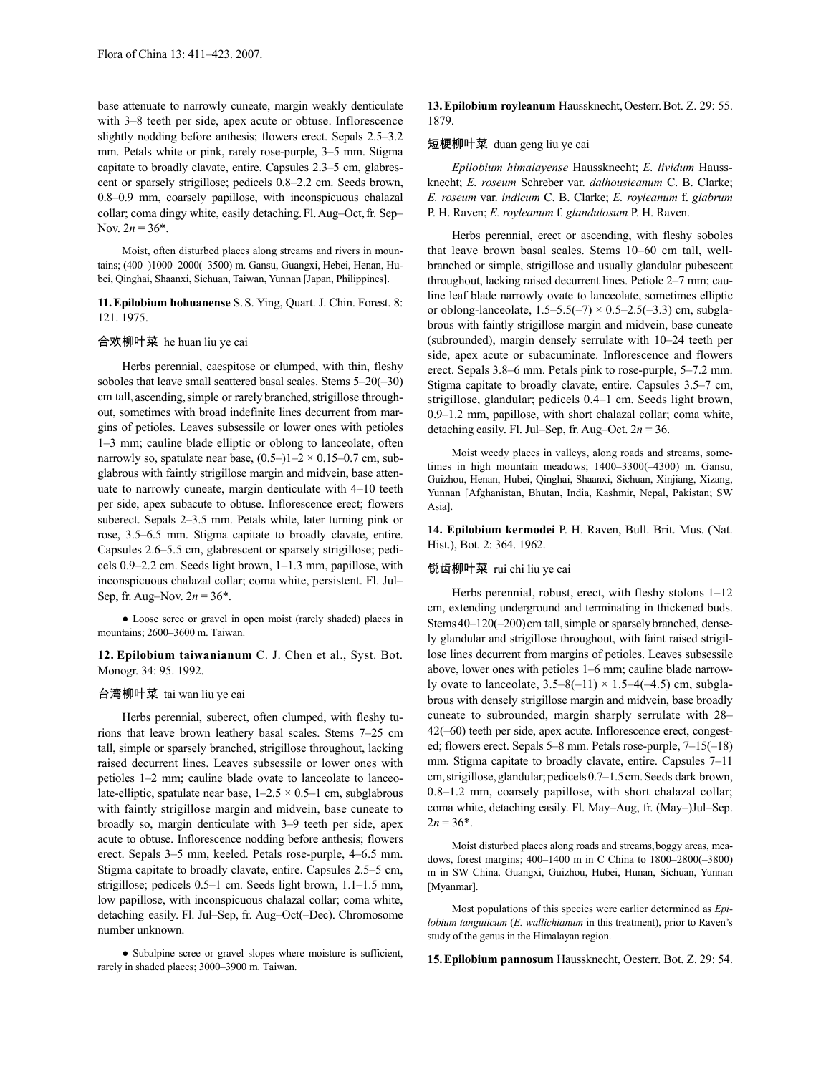base attenuate to narrowly cuneate, margin weakly denticulate with 3–8 teeth per side, apex acute or obtuse. Inflorescence slightly nodding before anthesis; flowers erect. Sepals 2.5–3.2 mm. Petals white or pink, rarely rose-purple, 3–5 mm. Stigma capitate to broadly clavate, entire. Capsules 2.3–5 cm, glabrescent or sparsely strigillose; pedicels 0.8–2.2 cm. Seeds brown, 0.8–0.9 mm, coarsely papillose, with inconspicuous chalazal collar; coma dingy white, easily detaching.Fl.Aug–Oct,fr. Sep– Nov.  $2n = 36^*$ .

Moist, often disturbed places along streams and rivers in mountains; (400–)1000–2000(–3500) m. Gansu, Guangxi, Hebei, Henan, Hubei, Qinghai, Shaanxi, Sichuan, Taiwan, Yunnan [Japan, Philippines].

**11.Epilobium hohuanense** S.S. Ying, Quart. J. Chin. Forest. 8: 121. 1975.

## 合欢柳叶菜 he huan liu ye cai

Herbs perennial, caespitose or clumped, with thin, fleshy soboles that leave small scattered basal scales. Stems 5–20(–30) cm tall, ascending, simple or rarely branched, strigillose throughout, sometimes with broad indefinite lines decurrent from margins of petioles. Leaves subsessile or lower ones with petioles 1–3 mm; cauline blade elliptic or oblong to lanceolate, often narrowly so, spatulate near base,  $(0.5-11-2 \times 0.15-0.7)$  cm, subglabrous with faintly strigillose margin and midvein, base attenuate to narrowly cuneate, margin denticulate with 4–10 teeth per side, apex subacute to obtuse. Inflorescence erect; flowers suberect. Sepals 2–3.5 mm. Petals white, later turning pink or rose, 3.5–6.5 mm. Stigma capitate to broadly clavate, entire. Capsules 2.6–5.5 cm, glabrescent or sparsely strigillose; pedicels 0.9–2.2 cm. Seeds light brown, 1–1.3 mm, papillose, with inconspicuous chalazal collar; coma white, persistent. Fl. Jul– Sep, fr. Aug–Nov. 2*n* = 36\*.

● Loose scree or gravel in open moist (rarely shaded) places in mountains; 2600–3600 m. Taiwan.

**12. Epilobium taiwanianum** C. J. Chen et al., Syst. Bot. Monogr. 34: 95. 1992.

# 台湾柳叶菜 tai wan liu ye cai

Herbs perennial, suberect, often clumped, with fleshy turions that leave brown leathery basal scales. Stems 7–25 cm tall, simple or sparsely branched, strigillose throughout, lacking raised decurrent lines. Leaves subsessile or lower ones with petioles 1–2 mm; cauline blade ovate to lanceolate to lanceolate-elliptic, spatulate near base,  $1-2.5 \times 0.5-1$  cm, subglabrous with faintly strigillose margin and midvein, base cuneate to broadly so, margin denticulate with 3–9 teeth per side, apex acute to obtuse. Inflorescence nodding before anthesis; flowers erect. Sepals 3–5 mm, keeled. Petals rose-purple, 4–6.5 mm. Stigma capitate to broadly clavate, entire. Capsules 2.5–5 cm, strigillose; pedicels 0.5–1 cm. Seeds light brown, 1.1–1.5 mm, low papillose, with inconspicuous chalazal collar; coma white, detaching easily. Fl. Jul–Sep, fr. Aug–Oct(–Dec). Chromosome number unknown.

● Subalpine scree or gravel slopes where moisture is sufficient, rarely in shaded places; 3000–3900 m. Taiwan.

**13.Epilobium royleanum** Haussknecht,Oesterr.Bot. Z. 29: 55. 1879.

### 短梗柳叶菜 duan geng liu ye cai

*Epilobium himalayense* Haussknecht; *E. lividum* Haussknecht; *E. roseum* Schreber var. *dalhousieanum* C. B. Clarke; *E. roseum* var. *indicum* C. B. Clarke; *E. royleanum* f. *glabrum* P. H. Raven; *E. royleanum* f. *glandulosum* P. H. Raven.

Herbs perennial, erect or ascending, with fleshy soboles that leave brown basal scales. Stems 10–60 cm tall, wellbranched or simple, strigillose and usually glandular pubescent throughout, lacking raised decurrent lines. Petiole 2–7 mm; cauline leaf blade narrowly ovate to lanceolate, sometimes elliptic or oblong-lanceolate,  $1.5-5.5(-7) \times 0.5-2.5(-3.3)$  cm, subglabrous with faintly strigillose margin and midvein, base cuneate (subrounded), margin densely serrulate with 10–24 teeth per side, apex acute or subacuminate. Inflorescence and flowers erect. Sepals 3.8–6 mm. Petals pink to rose-purple, 5–7.2 mm. Stigma capitate to broadly clavate, entire. Capsules 3.5–7 cm, strigillose, glandular; pedicels 0.4–1 cm. Seeds light brown, 0.9–1.2 mm, papillose, with short chalazal collar; coma white, detaching easily. Fl. Jul–Sep, fr. Aug–Oct.  $2n = 36$ .

Moist weedy places in valleys, along roads and streams, sometimes in high mountain meadows; 1400–3300(–4300) m. Gansu, Guizhou, Henan, Hubei, Qinghai, Shaanxi, Sichuan, Xinjiang, Xizang, Yunnan [Afghanistan, Bhutan, India, Kashmir, Nepal, Pakistan; SW Asia].

**14. Epilobium kermodei** P. H. Raven, Bull. Brit. Mus. (Nat. Hist.), Bot. 2: 364. 1962.

# 锐齿柳叶菜 rui chi liu ye cai

Herbs perennial, robust, erect, with fleshy stolons 1–12 cm, extending underground and terminating in thickened buds. Stems 40–120(–200) cm tall, simple or sparsely branched, densely glandular and strigillose throughout, with faint raised strigillose lines decurrent from margins of petioles. Leaves subsessile above, lower ones with petioles 1–6 mm; cauline blade narrowly ovate to lanceolate,  $3.5-8(-11) \times 1.5-4(-4.5)$  cm, subglabrous with densely strigillose margin and midvein, base broadly cuneate to subrounded, margin sharply serrulate with 28– 42(–60) teeth per side, apex acute. Inflorescence erect, congested; flowers erect. Sepals 5–8 mm. Petals rose-purple, 7–15(–18) mm. Stigma capitate to broadly clavate, entire. Capsules 7–11 cm,strigillose,glandular;pedicels0.7–1.5cm.Seeds dark brown, 0.8–1.2 mm, coarsely papillose, with short chalazal collar; coma white, detaching easily. Fl. May–Aug, fr. (May–)Jul–Sep.  $2n = 36*$ .

Moist disturbed places along roads and streams, boggy areas, meadows, forest margins; 400–1400 m in C China to 1800–2800(–3800) m in SW China. Guangxi, Guizhou, Hubei, Hunan, Sichuan, Yunnan [Myanmar].

Most populations of this species were earlier determined as *Epilobium tanguticum* (*E. wallichianum* in this treatment), prior to Raven's study of the genus in the Himalayan region.

**15.Epilobium pannosum** Haussknecht, Oesterr. Bot. Z. 29: 54.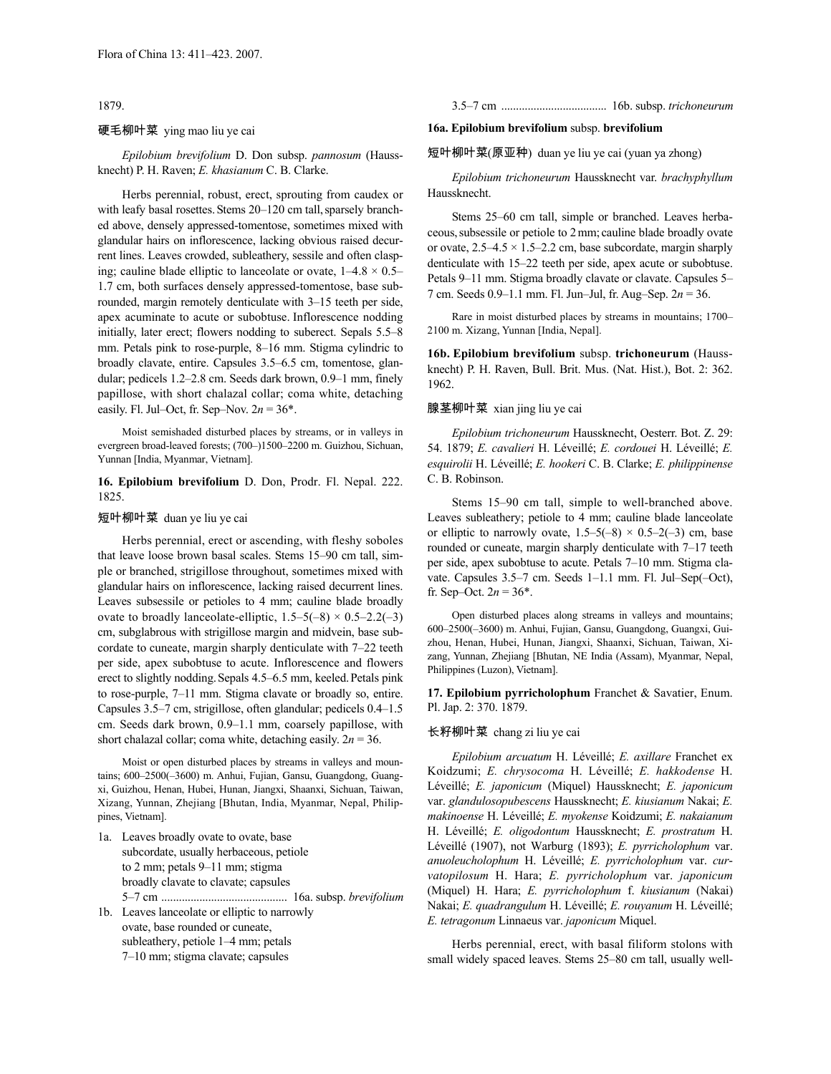1879.

### 硬毛柳叶菜 ying mao liu ye cai

*Epilobium brevifolium* D. Don subsp. *pannosum* (Haussknecht) P. H. Raven; *E. khasianum* C. B. Clarke.

Herbs perennial, robust, erect, sprouting from caudex or with leafy basal rosettes. Stems 20-120 cm tall, sparsely branched above, densely appressed-tomentose, sometimes mixed with glandular hairs on inflorescence, lacking obvious raised decurrent lines. Leaves crowded, subleathery, sessile and often clasping; cauline blade elliptic to lanceolate or ovate,  $1-4.8 \times 0.5-$ 1.7 cm, both surfaces densely appressed-tomentose, base subrounded, margin remotely denticulate with 3–15 teeth per side, apex acuminate to acute or subobtuse. Inflorescence nodding initially, later erect; flowers nodding to suberect. Sepals 5.5–8 mm. Petals pink to rose-purple, 8–16 mm. Stigma cylindric to broadly clavate, entire. Capsules 3.5–6.5 cm, tomentose, glandular; pedicels 1.2–2.8 cm. Seeds dark brown, 0.9–1 mm, finely papillose, with short chalazal collar; coma white, detaching easily. Fl. Jul–Oct, fr. Sep–Nov.  $2n = 36^*$ .

Moist semishaded disturbed places by streams, or in valleys in evergreen broad-leaved forests; (700–)1500–2200 m. Guizhou, Sichuan, Yunnan [India, Myanmar, Vietnam].

### **16. Epilobium brevifolium** D. Don, Prodr. Fl. Nepal. 222. 1825.

#### 短叶柳叶菜 duan ye liu ye cai

Herbs perennial, erect or ascending, with fleshy soboles that leave loose brown basal scales. Stems 15–90 cm tall, simple or branched, strigillose throughout, sometimes mixed with glandular hairs on inflorescence, lacking raised decurrent lines. Leaves subsessile or petioles to 4 mm; cauline blade broadly ovate to broadly lanceolate-elliptic,  $1.5-5(-8) \times 0.5-2.2(-3)$ cm, subglabrous with strigillose margin and midvein, base subcordate to cuneate, margin sharply denticulate with 7–22 teeth per side, apex subobtuse to acute. Inflorescence and flowers erect to slightly nodding.Sepals 4.5–6.5 mm, keeled.Petals pink to rose-purple, 7–11 mm. Stigma clavate or broadly so, entire. Capsules 3.5–7 cm, strigillose, often glandular; pedicels 0.4–1.5 cm. Seeds dark brown, 0.9–1.1 mm, coarsely papillose, with short chalazal collar; coma white, detaching easily. 2*n* = 36.

Moist or open disturbed places by streams in valleys and mountains; 600–2500(–3600) m. Anhui, Fujian, Gansu, Guangdong, Guangxi, Guizhou, Henan, Hubei, Hunan, Jiangxi, Shaanxi, Sichuan, Taiwan, Xizang, Yunnan, Zhejiang [Bhutan, India, Myanmar, Nepal, Philippines, Vietnam].

1a. Leaves broadly ovate to ovate, base subcordate, usually herbaceous, petiole to 2 mm; petals 9–11 mm; stigma broadly clavate to clavate; capsules 5–7 cm ........................................... 16a. subsp. *brevifolium* 1b. Leaves lanceolate or elliptic to narrowly

ovate, base rounded or cuneate, subleathery, petiole 1–4 mm; petals 7–10 mm; stigma clavate; capsules

3.5–7 cm .................................... 16b. subsp. *trichoneurum*

# **16a. Epilobium brevifolium** subsp. **brevifolium**

短叶柳叶菜(原亚种) duan ye liu ye cai (yuan ya zhong)

*Epilobium trichoneurum* Haussknecht var. *brachyphyllum*  Haussknecht.

Stems 25–60 cm tall, simple or branched. Leaves herbaceous,subsessile or petiole to 2mm; cauline blade broadly ovate or ovate,  $2.5-4.5 \times 1.5-2.2$  cm, base subcordate, margin sharply denticulate with 15–22 teeth per side, apex acute or subobtuse. Petals 9–11 mm. Stigma broadly clavate or clavate. Capsules 5– 7 cm. Seeds 0.9–1.1 mm. Fl. Jun–Jul, fr. Aug–Sep. 2*n* = 36.

Rare in moist disturbed places by streams in mountains; 1700– 2100 m. Xizang, Yunnan [India, Nepal].

**16b. Epilobium brevifolium** subsp. **trichoneurum** (Haussknecht) P. H. Raven, Bull. Brit. Mus. (Nat. Hist.), Bot. 2: 362. 1962.

## 腺茎柳叶菜 xian jing liu ye cai

*Epilobium trichoneurum* Haussknecht, Oesterr. Bot. Z. 29: 54. 1879; *E. cavalieri* H. Léveillé; *E. cordouei* H. Léveillé; *E. esquirolii* H. Léveillé; *E. hookeri* C. B. Clarke; *E. philippinense* C. B. Robinson.

Stems 15–90 cm tall, simple to well-branched above. Leaves subleathery; petiole to 4 mm; cauline blade lanceolate or elliptic to narrowly ovate,  $1.5-5(-8) \times 0.5-2(-3)$  cm, base rounded or cuneate, margin sharply denticulate with 7–17 teeth per side, apex subobtuse to acute. Petals 7–10 mm. Stigma clavate. Capsules 3.5–7 cm. Seeds 1–1.1 mm. Fl. Jul–Sep(–Oct), fr. Sep–Oct.  $2n = 36^*$ .

Open disturbed places along streams in valleys and mountains; 600–2500(–3600) m. Anhui, Fujian, Gansu, Guangdong, Guangxi, Guizhou, Henan, Hubei, Hunan, Jiangxi, Shaanxi, Sichuan, Taiwan, Xizang, Yunnan, Zhejiang [Bhutan, NE India (Assam), Myanmar, Nepal, Philippines (Luzon), Vietnam].

**17. Epilobium pyrricholophum** Franchet & Savatier, Enum. Pl. Jap. 2: 370. 1879.

# 长籽柳叶菜 chang zi liu ye cai

*Epilobium arcuatum* H. Léveillé; *E. axillare* Franchet ex Koidzumi; *E. chrysocoma* H. Léveillé; *E. hakkodense* H. Léveillé; *E. japonicum* (Miquel) Haussknecht; *E. japonicum* var. *glandulosopubescens* Haussknecht; *E. kiusianum* Nakai; *E. makinoense* H. Léveillé; *E. myokense* Koidzumi; *E. nakaianum*  H. Léveillé; *E. oligodontum* Haussknecht; *E. prostratum* H. Léveillé (1907), not Warburg (1893); *E. pyrricholophum* var. *anuoleucholophum* H. Léveillé; *E. pyrricholophum* var. *curvatopilosum* H. Hara; *E. pyrricholophum* var. *japonicum*  (Miquel) H. Hara; *E. pyrricholophum* f. *kiusianum* (Nakai) Nakai; *E. quadrangulum* H. Léveillé; *E. rouyanum* H. Léveillé; *E. tetragonum* Linnaeus var. *japonicum* Miquel.

Herbs perennial, erect, with basal filiform stolons with small widely spaced leaves. Stems 25–80 cm tall, usually well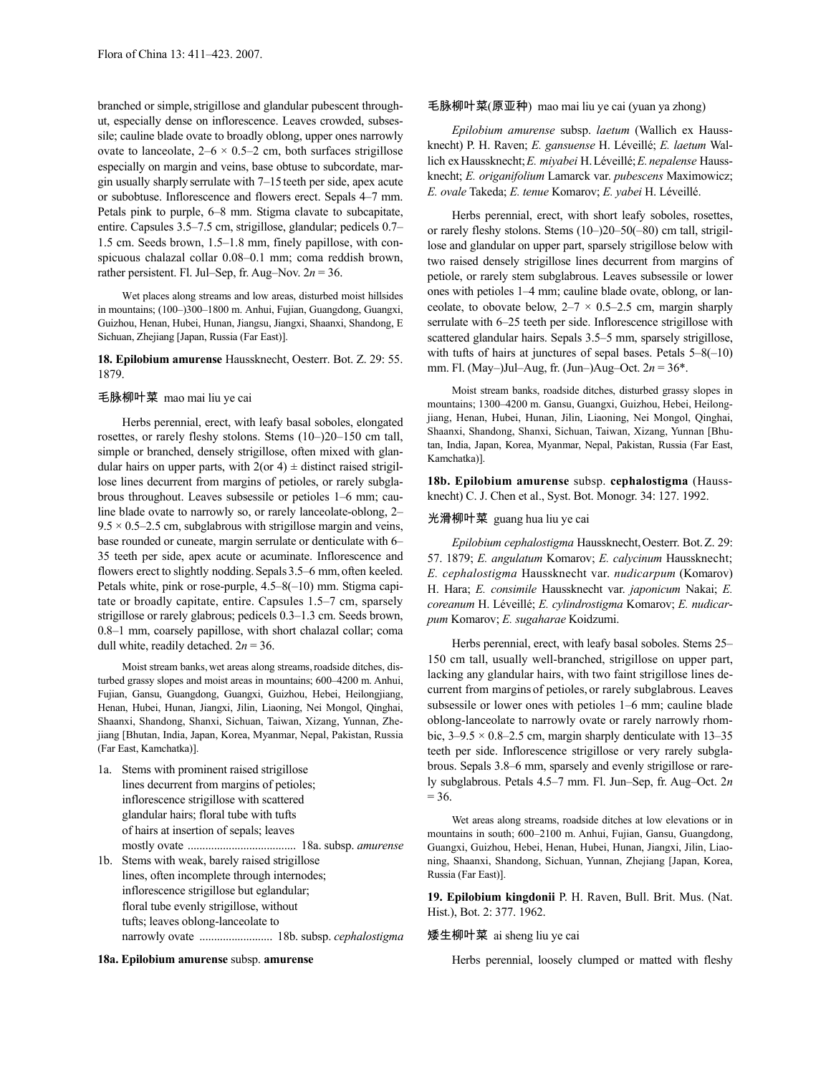branched or simple, strigillose and glandular pubescent throughut, especially dense on inflorescence. Leaves crowded, subsessile; cauline blade ovate to broadly oblong, upper ones narrowly ovate to lanceolate,  $2-6 \times 0.5-2$  cm, both surfaces strigillose especially on margin and veins, base obtuse to subcordate, margin usually sharply serrulate with 7–15teeth per side, apex acute or subobtuse. Inflorescence and flowers erect. Sepals 4–7 mm. Petals pink to purple, 6–8 mm. Stigma clavate to subcapitate, entire. Capsules 3.5–7.5 cm, strigillose, glandular; pedicels 0.7– 1.5 cm. Seeds brown, 1.5–1.8 mm, finely papillose, with conspicuous chalazal collar 0.08–0.1 mm; coma reddish brown, rather persistent. Fl. Jul–Sep, fr. Aug–Nov.  $2n = 36$ .

Wet places along streams and low areas, disturbed moist hillsides in mountains; (100–)300–1800 m. Anhui, Fujian, Guangdong, Guangxi, Guizhou, Henan, Hubei, Hunan, Jiangsu, Jiangxi, Shaanxi, Shandong, E Sichuan, Zhejiang [Japan, Russia (Far East)].

#### **18. Epilobium amurense** Haussknecht, Oesterr. Bot. Z. 29: 55. 1879.

#### 毛脉柳叶菜 mao mai liu ye cai

Herbs perennial, erect, with leafy basal soboles, elongated rosettes, or rarely fleshy stolons. Stems (10–)20–150 cm tall, simple or branched, densely strigillose, often mixed with glandular hairs on upper parts, with  $2(\text{or } 4) \pm \text{distinct raised straight}$ lose lines decurrent from margins of petioles, or rarely subglabrous throughout. Leaves subsessile or petioles 1–6 mm; cauline blade ovate to narrowly so, or rarely lanceolate-oblong, 2–  $9.5 \times 0.5$ –2.5 cm, subglabrous with strigillose margin and veins, base rounded or cuneate, margin serrulate or denticulate with 6– 35 teeth per side, apex acute or acuminate. Inflorescence and flowers erect to slightly nodding. Sepals 3.5–6 mm, often keeled. Petals white, pink or rose-purple, 4.5–8(–10) mm. Stigma capitate or broadly capitate, entire. Capsules 1.5–7 cm, sparsely strigillose or rarely glabrous; pedicels 0.3–1.3 cm. Seeds brown, 0.8–1 mm, coarsely papillose, with short chalazal collar; coma dull white, readily detached.  $2n = 36$ .

Moist stream banks, wet areas along streams, roadside ditches, disturbed grassy slopes and moist areas in mountains; 600–4200 m. Anhui, Fujian, Gansu, Guangdong, Guangxi, Guizhou, Hebei, Heilongjiang, Henan, Hubei, Hunan, Jiangxi, Jilin, Liaoning, Nei Mongol, Qinghai, Shaanxi, Shandong, Shanxi, Sichuan, Taiwan, Xizang, Yunnan, Zhejiang [Bhutan, India, Japan, Korea, Myanmar, Nepal, Pakistan, Russia (Far East, Kamchatka)].

1a. Stems with prominent raised strigillose lines decurrent from margins of petioles; inflorescence strigillose with scattered glandular hairs; floral tube with tufts of hairs at insertion of sepals; leaves mostly ovate ..................................... 18a. subsp. *amurense* 1b. Stems with weak, barely raised strigillose lines, often incomplete through internodes; inflorescence strigillose but eglandular; floral tube evenly strigillose, without tufts; leaves oblong-lanceolate to narrowly ovate ......................... 18b. subsp. *cephalostigma*

# **18a. Epilobium amurense** subsp. **amurense**

#### 毛脉柳叶菜(原亚种) mao mai liu ye cai (yuan ya zhong)

*Epilobium amurense* subsp. *laetum* (Wallich ex Haussknecht) P. H. Raven; *E. gansuense* H. Léveillé; *E. laetum* Wallich exHaussknecht;*E. miyabei* H.Léveillé;*E.nepalense* Haussknecht; *E. origanifolium* Lamarck var. *pubescens* Maximowicz; *E. ovale* Takeda; *E. tenue* Komarov; *E. yabei* H. Léveillé.

Herbs perennial, erect, with short leafy soboles, rosettes, or rarely fleshy stolons. Stems (10–)20–50(–80) cm tall, strigillose and glandular on upper part, sparsely strigillose below with two raised densely strigillose lines decurrent from margins of petiole, or rarely stem subglabrous. Leaves subsessile or lower ones with petioles 1–4 mm; cauline blade ovate, oblong, or lanceolate, to obovate below,  $2-7 \times 0.5-2.5$  cm, margin sharply serrulate with 6–25 teeth per side. Inflorescence strigillose with scattered glandular hairs. Sepals 3.5–5 mm, sparsely strigillose, with tufts of hairs at junctures of sepal bases. Petals 5–8(–10) mm. Fl. (May–)Jul–Aug, fr. (Jun–)Aug–Oct. 2*n* = 36\*.

Moist stream banks, roadside ditches, disturbed grassy slopes in mountains; 1300–4200 m. Gansu, Guangxi, Guizhou, Hebei, Heilongjiang, Henan, Hubei, Hunan, Jilin, Liaoning, Nei Mongol, Qinghai, Shaanxi, Shandong, Shanxi, Sichuan, Taiwan, Xizang, Yunnan [Bhutan, India, Japan, Korea, Myanmar, Nepal, Pakistan, Russia (Far East, Kamchatka)].

**18b. Epilobium amurense** subsp. **cephalostigma** (Haussknecht) C. J. Chen et al., Syst. Bot. Monogr. 34: 127. 1992.

#### 光滑柳叶菜 guang hua liu ye cai

*Epilobium cephalostigma* Haussknecht,Oesterr. Bot.Z. 29: 57. 1879; *E. angulatum* Komarov; *E. calycinum* Haussknecht; *E. cephalostigma* Haussknecht var. *nudicarpum* (Komarov) H. Hara; *E. consimile* Haussknecht var. *japonicum* Nakai; *E. coreanum* H. Léveillé; *E. cylindrostigma* Komarov; *E. nudicarpum* Komarov; *E. sugaharae* Koidzumi.

Herbs perennial, erect, with leafy basal soboles. Stems 25– 150 cm tall, usually well-branched, strigillose on upper part, lacking any glandular hairs, with two faint strigillose lines decurrent from margins of petioles, or rarely subglabrous. Leaves subsessile or lower ones with petioles 1–6 mm; cauline blade oblong-lanceolate to narrowly ovate or rarely narrowly rhombic,  $3-9.5 \times 0.8-2.5$  cm, margin sharply denticulate with 13-35 teeth per side. Inflorescence strigillose or very rarely subglabrous. Sepals 3.8–6 mm, sparsely and evenly strigillose or rarely subglabrous. Petals 4.5–7 mm. Fl. Jun–Sep, fr. Aug–Oct. 2*n*  $= 36.$ 

Wet areas along streams, roadside ditches at low elevations or in mountains in south; 600–2100 m. Anhui, Fujian, Gansu, Guangdong, Guangxi, Guizhou, Hebei, Henan, Hubei, Hunan, Jiangxi, Jilin, Liaoning, Shaanxi, Shandong, Sichuan, Yunnan, Zhejiang [Japan, Korea, Russia (Far East)].

**19. Epilobium kingdonii** P. H. Raven, Bull. Brit. Mus. (Nat. Hist.), Bot. 2: 377. 1962.

# 矮生柳叶菜 ai sheng liu ye cai

Herbs perennial, loosely clumped or matted with fleshy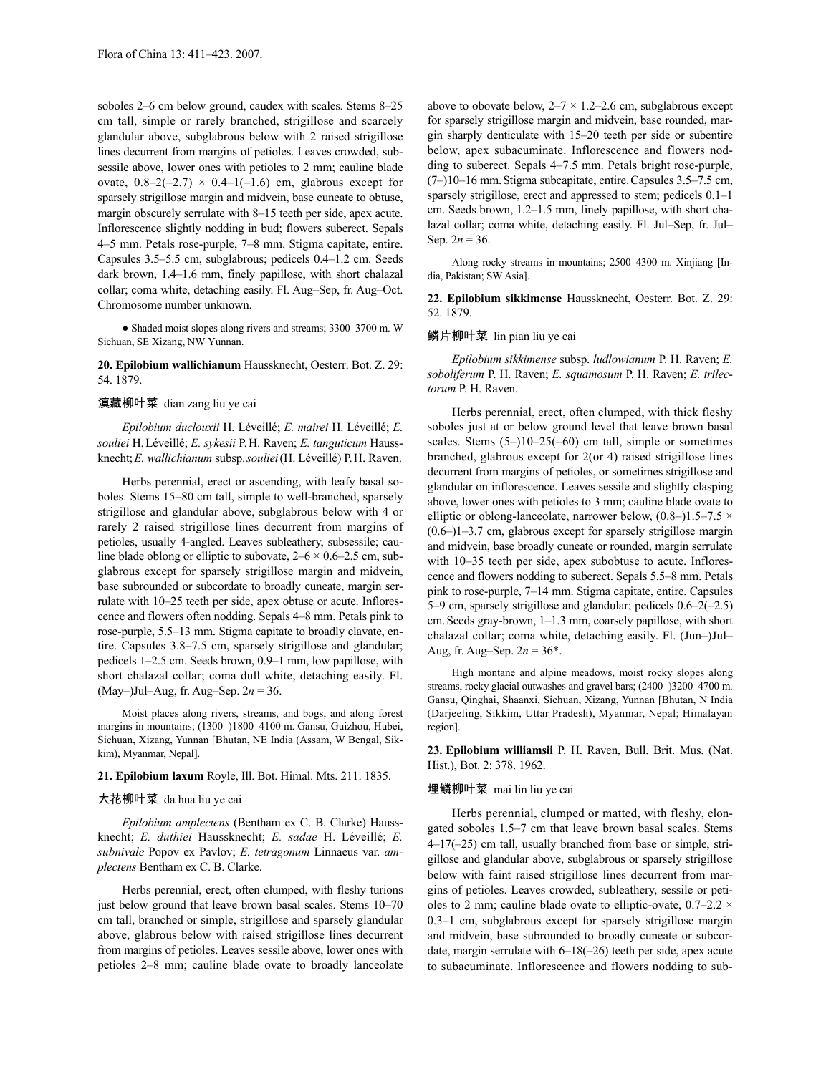soboles 2–6 cm below ground, caudex with scales. Stems 8–25 cm tall, simple or rarely branched, strigillose and scarcely glandular above, subglabrous below with 2 raised strigillose lines decurrent from margins of petioles. Leaves crowded, subsessile above, lower ones with petioles to 2 mm; cauline blade ovate,  $0.8-2(-2.7) \times 0.4-1(-1.6)$  cm, glabrous except for sparsely strigillose margin and midvein, base cuneate to obtuse, margin obscurely serrulate with 8–15 teeth per side, apex acute. Inflorescence slightly nodding in bud; flowers suberect. Sepals 4–5 mm. Petals rose-purple, 7–8 mm. Stigma capitate, entire. Capsules 3.5–5.5 cm, subglabrous; pedicels 0.4–1.2 cm. Seeds dark brown, 1.4–1.6 mm, finely papillose, with short chalazal collar; coma white, detaching easily. Fl. Aug–Sep, fr. Aug–Oct. Chromosome number unknown.

● Shaded moist slopes along rivers and streams; 3300–3700 m. W Sichuan, SE Xizang, NW Yunnan.

# **20. Epilobium wallichianum** Haussknecht, Oesterr. Bot. Z. 29: 54. 1879.

#### 滇藏柳叶菜 dian zang liu ye cai

*Epilobium duclouxii* H. Léveillé; *E. mairei* H. Léveillé; *E. souliei* H.Léveillé; *E. sykesii* P.H. Raven; *E. tanguticum* Haussknecht;*E. wallichianum* subsp.*souliei*(H. Léveillé) P.H. Raven.

Herbs perennial, erect or ascending, with leafy basal soboles. Stems 15–80 cm tall, simple to well-branched, sparsely strigillose and glandular above, subglabrous below with 4 or rarely 2 raised strigillose lines decurrent from margins of petioles, usually 4-angled. Leaves subleathery, subsessile; cauline blade oblong or elliptic to subovate,  $2-6 \times 0.6-2.5$  cm, subglabrous except for sparsely strigillose margin and midvein, base subrounded or subcordate to broadly cuneate, margin serrulate with 10–25 teeth per side, apex obtuse or acute. Inflorescence and flowers often nodding. Sepals 4–8 mm. Petals pink to rose-purple, 5.5–13 mm. Stigma capitate to broadly clavate, entire. Capsules 3.8–7.5 cm, sparsely strigillose and glandular; pedicels 1–2.5 cm. Seeds brown, 0.9–1 mm, low papillose, with short chalazal collar; coma dull white, detaching easily. Fl. (May–)Jul–Aug, fr. Aug–Sep. 2*n* = 36.

Moist places along rivers, streams, and bogs, and along forest margins in mountains; (1300–)1800–4100 m. Gansu, Guizhou, Hubei, Sichuan, Xizang, Yunnan [Bhutan, NE India (Assam, W Bengal, Sikkim), Myanmar, Nepal].

## **21. Epilobium laxum** Royle, Ill. Bot. Himal. Mts. 211. 1835.

# 大花柳叶菜 da hua liu ye cai

*Epilobium amplectens* (Bentham ex C. B. Clarke) Haussknecht; *E. duthiei* Haussknecht; *E. sadae* H. Léveillé; *E. subnivale* Popov ex Pavlov; *E. tetragonum* Linnaeus var. *amplectens* Bentham ex C. B. Clarke.

Herbs perennial, erect, often clumped, with fleshy turions just below ground that leave brown basal scales. Stems  $10-70$ cm tall, branched or simple, strigillose and sparsely glandular above, glabrous below with raised strigillose lines decurrent from margins of petioles. Leaves sessile above, lower ones with petioles 2–8 mm; cauline blade ovate to broadly lanceolate above to obovate below,  $2-7 \times 1.2-2.6$  cm, subglabrous except for sparsely strigillose margin and midvein, base rounded, margin sharply denticulate with 15–20 teeth per side or subentire below, apex subacuminate. Inflorescence and flowers nodding to suberect. Sepals 4–7.5 mm. Petals bright rose-purple, (7–)10–16 mm.Stigma subcapitate, entire.Capsules 3.5–7.5 cm, sparsely strigillose, erect and appressed to stem; pedicels 0.1–1 cm. Seeds brown, 1.2–1.5 mm, finely papillose, with short chalazal collar; coma white, detaching easily. Fl. Jul–Sep, fr. Jul– Sep.  $2n = 36$ .

Along rocky streams in mountains; 2500–4300 m. Xinjiang [India, Pakistan; SW Asia].

**22. Epilobium sikkimense** Haussknecht, Oesterr. Bot. Z. 29: 52. 1879.

# 鳞片柳叶菜 lin pian liu ye cai

*Epilobium sikkimense* subsp. *ludlowianum* P. H. Raven; *E. soboliferum* P. H. Raven; *E. squamosum* P. H. Raven; *E. trilectorum* P. H. Raven.

Herbs perennial, erect, often clumped, with thick fleshy soboles just at or below ground level that leave brown basal scales. Stems (5–)10–25(–60) cm tall, simple or sometimes branched, glabrous except for 2(or 4) raised strigillose lines decurrent from margins of petioles, or sometimes strigillose and glandular on inflorescence. Leaves sessile and slightly clasping above, lower ones with petioles to 3 mm; cauline blade ovate to elliptic or oblong-lanceolate, narrower below,  $(0.8-)1.5-7.5 \times$ (0.6–)1–3.7 cm, glabrous except for sparsely strigillose margin and midvein, base broadly cuneate or rounded, margin serrulate with 10–35 teeth per side, apex subobtuse to acute. Inflorescence and flowers nodding to suberect. Sepals 5.5–8 mm. Petals pink to rose-purple, 7–14 mm. Stigma capitate, entire. Capsules 5–9 cm, sparsely strigillose and glandular; pedicels 0.6–2(–2.5) cm.Seeds gray-brown, 1–1.3 mm, coarsely papillose, with short chalazal collar; coma white, detaching easily. Fl. (Jun–)Jul– Aug, fr. Aug–Sep.  $2n = 36^*$ .

High montane and alpine meadows, moist rocky slopes along streams, rocky glacial outwashes and gravel bars; (2400–)3200–4700 m. Gansu, Qinghai, Shaanxi, Sichuan, Xizang, Yunnan [Bhutan, N India (Darjeeling, Sikkim, Uttar Pradesh), Myanmar, Nepal; Himalayan region].

**23. Epilobium williamsii** P. H. Raven, Bull. Brit. Mus. (Nat. Hist.), Bot. 2: 378. 1962.

### 埋鳞柳叶菜 mai lin liu ye cai

Herbs perennial, clumped or matted, with fleshy, elongated soboles 1.5–7 cm that leave brown basal scales. Stems 4–17(–25) cm tall, usually branched from base or simple, strigillose and glandular above, subglabrous or sparsely strigillose below with faint raised strigillose lines decurrent from margins of petioles. Leaves crowded, subleathery, sessile or petioles to 2 mm; cauline blade ovate to elliptic-ovate,  $0.7-2.2 \times$ 0.3–1 cm, subglabrous except for sparsely strigillose margin and midvein, base subrounded to broadly cuneate or subcordate, margin serrulate with 6–18(–26) teeth per side, apex acute to subacuminate. Inflorescence and flowers nodding to sub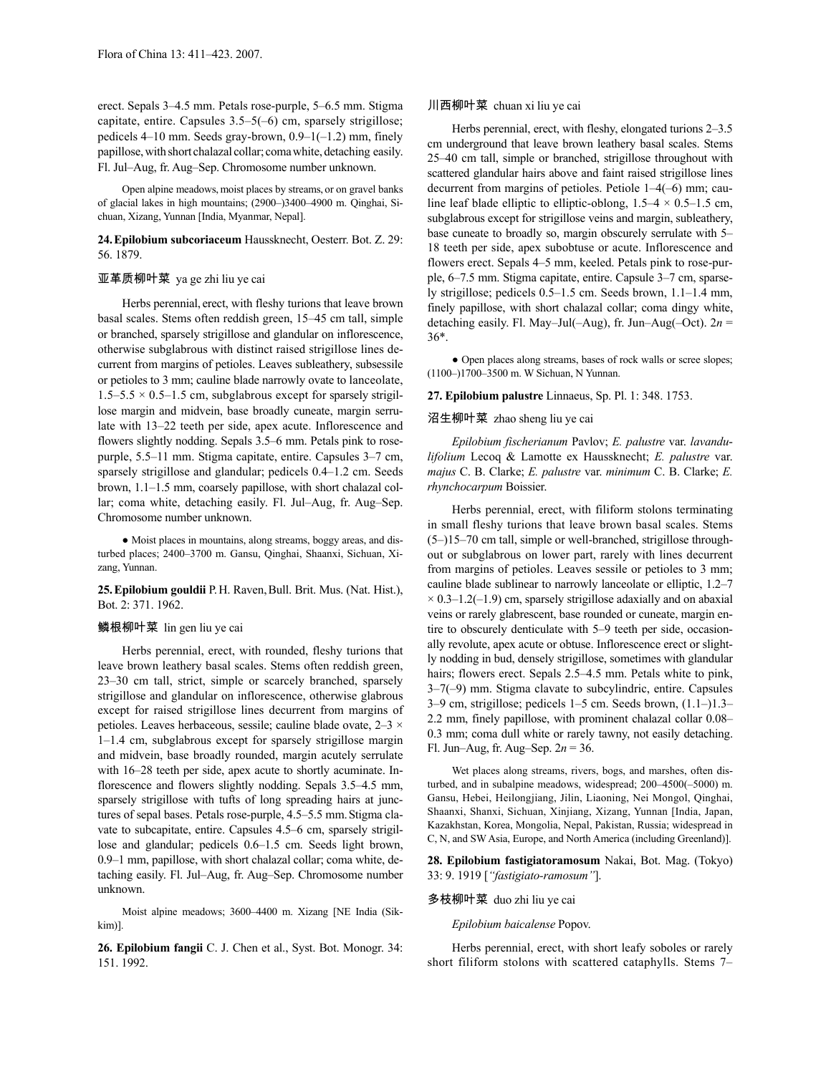erect. Sepals 3–4.5 mm. Petals rose-purple, 5–6.5 mm. Stigma capitate, entire. Capsules 3.5–5(–6) cm, sparsely strigillose; pedicels  $4-10$  mm. Seeds gray-brown,  $0.9-1(-1.2)$  mm, finely papillose, with short chalazal collar; coma white, detaching easily. Fl. Jul–Aug, fr. Aug–Sep. Chromosome number unknown.

Open alpine meadows, moist places by streams, or on gravel banks of glacial lakes in high mountains; (2900–)3400–4900 m. Qinghai, Sichuan, Xizang, Yunnan [India, Myanmar, Nepal].

# **24.Epilobium subcoriaceum** Haussknecht, Oesterr. Bot. Z. 29: 56. 1879.

# 亚革质柳叶菜 ya ge zhi liu ye cai

Herbs perennial, erect, with fleshy turions that leave brown basal scales. Stems often reddish green, 15–45 cm tall, simple or branched, sparsely strigillose and glandular on inflorescence, otherwise subglabrous with distinct raised strigillose lines decurrent from margins of petioles. Leaves subleathery, subsessile or petioles to 3 mm; cauline blade narrowly ovate to lanceolate,  $1.5-5.5 \times 0.5-1.5$  cm, subglabrous except for sparsely strigillose margin and midvein, base broadly cuneate, margin serrulate with 13–22 teeth per side, apex acute. Inflorescence and flowers slightly nodding. Sepals 3.5–6 mm. Petals pink to rosepurple, 5.5–11 mm. Stigma capitate, entire. Capsules 3–7 cm, sparsely strigillose and glandular; pedicels 0.4–1.2 cm. Seeds brown, 1.1–1.5 mm, coarsely papillose, with short chalazal collar; coma white, detaching easily. Fl. Jul–Aug, fr. Aug–Sep. Chromosome number unknown.

● Moist places in mountains, along streams, boggy areas, and disturbed places; 2400–3700 m. Gansu, Qinghai, Shaanxi, Sichuan, Xizang, Yunnan.

25. Epilobium gouldii P.H. Raven, Bull. Brit. Mus. (Nat. Hist.), Bot. 2: 371. 1962.

# 鳞根柳叶菜 lin gen liu ye cai

Herbs perennial, erect, with rounded, fleshy turions that leave brown leathery basal scales. Stems often reddish green, 23–30 cm tall, strict, simple or scarcely branched, sparsely strigillose and glandular on inflorescence, otherwise glabrous except for raised strigillose lines decurrent from margins of petioles. Leaves herbaceous, sessile; cauline blade ovate, 2–3 × 1–1.4 cm, subglabrous except for sparsely strigillose margin and midvein, base broadly rounded, margin acutely serrulate with 16–28 teeth per side, apex acute to shortly acuminate. Inflorescence and flowers slightly nodding. Sepals 3.5–4.5 mm, sparsely strigillose with tufts of long spreading hairs at junctures of sepal bases. Petals rose-purple, 4.5–5.5 mm. Stigma clavate to subcapitate, entire. Capsules 4.5–6 cm, sparsely strigillose and glandular; pedicels 0.6–1.5 cm. Seeds light brown, 0.9–1 mm, papillose, with short chalazal collar; coma white, detaching easily. Fl. Jul–Aug, fr. Aug–Sep. Chromosome number unknown.

Moist alpine meadows; 3600–4400 m. Xizang [NE India (Sikkim)].

**26. Epilobium fangii** C. J. Chen et al., Syst. Bot. Monogr. 34: 151. 1992.

# 川西柳叶菜 chuan xi liu ye cai

Herbs perennial, erect, with fleshy, elongated turions 2–3.5 cm underground that leave brown leathery basal scales. Stems 25–40 cm tall, simple or branched, strigillose throughout with scattered glandular hairs above and faint raised strigillose lines decurrent from margins of petioles. Petiole 1–4(–6) mm; cauline leaf blade elliptic to elliptic-oblong,  $1.5-4 \times 0.5-1.5$  cm, subglabrous except for strigillose veins and margin, subleathery, base cuneate to broadly so, margin obscurely serrulate with 5– 18 teeth per side, apex subobtuse or acute. Inflorescence and flowers erect. Sepals 4–5 mm, keeled. Petals pink to rose-purple, 6–7.5 mm. Stigma capitate, entire. Capsule 3–7 cm, sparsely strigillose; pedicels 0.5–1.5 cm. Seeds brown, 1.1–1.4 mm, finely papillose, with short chalazal collar; coma dingy white, detaching easily. Fl. May–Jul(–Aug), fr. Jun–Aug(–Oct). 2*n* = 36\*.

● Open places along streams, bases of rock walls or scree slopes; (1100–)1700–3500 m. W Sichuan, N Yunnan.

# **27. Epilobium palustre** Linnaeus, Sp. Pl. 1: 348. 1753.

# 沼生柳叶菜 zhao sheng liu ye cai

*Epilobium fischerianum* Pavlov; *E. palustre* var. *lavandulifolium* Lecoq & Lamotte ex Haussknecht; *E. palustre* var. *majus* C. B. Clarke; *E. palustre* var. *minimum* C. B. Clarke; *E. rhynchocarpum* Boissier.

Herbs perennial, erect, with filiform stolons terminating in small fleshy turions that leave brown basal scales. Stems (5–)15–70 cm tall, simple or well-branched, strigillose throughout or subglabrous on lower part, rarely with lines decurrent from margins of petioles. Leaves sessile or petioles to 3 mm; cauline blade sublinear to narrowly lanceolate or elliptic, 1.2–7  $\times$  0.3–1.2(–1.9) cm, sparsely strigillose adaxially and on abaxial veins or rarely glabrescent, base rounded or cuneate, margin entire to obscurely denticulate with 5–9 teeth per side, occasionally revolute, apex acute or obtuse. Inflorescence erect or slightly nodding in bud, densely strigillose, sometimes with glandular hairs; flowers erect. Sepals 2.5–4.5 mm. Petals white to pink, 3–7(–9) mm. Stigma clavate to subcylindric, entire. Capsules 3–9 cm, strigillose; pedicels 1–5 cm. Seeds brown, (1.1–)1.3– 2.2 mm, finely papillose, with prominent chalazal collar 0.08– 0.3 mm; coma dull white or rarely tawny, not easily detaching. Fl. Jun–Aug, fr. Aug–Sep. 2*n* = 36.

Wet places along streams, rivers, bogs, and marshes, often disturbed, and in subalpine meadows, widespread; 200–4500(–5000) m. Gansu, Hebei, Heilongjiang, Jilin, Liaoning, Nei Mongol, Qinghai, Shaanxi, Shanxi, Sichuan, Xinjiang, Xizang, Yunnan [India, Japan, Kazakhstan, Korea, Mongolia, Nepal, Pakistan, Russia; widespread in C, N, and SW Asia, Europe, and North America (including Greenland)].

**28. Epilobium fastigiatoramosum** Nakai, Bot. Mag. (Tokyo) 33: 9. 1919 [*"fastigiato-ramosum"*].

# 多枝柳叶菜 duo zhi liu ye cai

# *Epilobium baicalense* Popov.

Herbs perennial, erect, with short leafy soboles or rarely short filiform stolons with scattered cataphylls. Stems 7–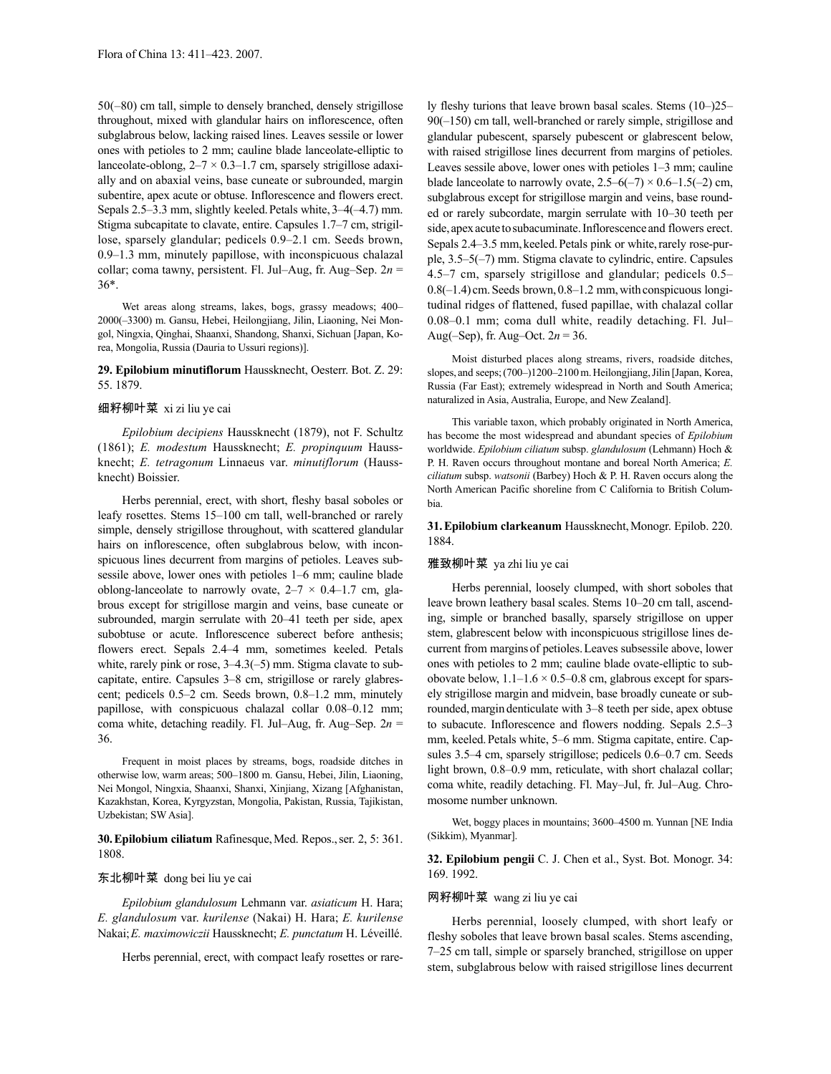50(–80) cm tall, simple to densely branched, densely strigillose throughout, mixed with glandular hairs on inflorescence, often subglabrous below, lacking raised lines. Leaves sessile or lower ones with petioles to 2 mm; cauline blade lanceolate-elliptic to lanceolate-oblong,  $2-7 \times 0.3-1.7$  cm, sparsely strigillose adaxially and on abaxial veins, base cuneate or subrounded, margin subentire, apex acute or obtuse. Inflorescence and flowers erect. Sepals 2.5–3.3 mm, slightly keeled.Petals white, 3–4(–4.7) mm. Stigma subcapitate to clavate, entire. Capsules 1.7–7 cm, strigillose, sparsely glandular; pedicels 0.9–2.1 cm. Seeds brown, 0.9–1.3 mm, minutely papillose, with inconspicuous chalazal collar; coma tawny, persistent. Fl. Jul–Aug, fr. Aug–Sep. 2*n* = 36\*.

Wet areas along streams, lakes, bogs, grassy meadows; 400– 2000(–3300) m. Gansu, Hebei, Heilongjiang, Jilin, Liaoning, Nei Mongol, Ningxia, Qinghai, Shaanxi, Shandong, Shanxi, Sichuan [Japan, Korea, Mongolia, Russia (Dauria to Ussuri regions)].

#### **29. Epilobium minutiflorum** Haussknecht, Oesterr. Bot. Z. 29: 55. 1879.

#### 细籽柳叶菜 xi zi liu ye cai

*Epilobium decipiens* Haussknecht (1879), not F. Schultz (1861); *E. modestum* Haussknecht; *E. propinquum* Haussknecht; *E. tetragonum* Linnaeus var. *minutiflorum* (Haussknecht) Boissier.

Herbs perennial, erect, with short, fleshy basal soboles or leafy rosettes. Stems 15–100 cm tall, well-branched or rarely simple, densely strigillose throughout, with scattered glandular hairs on inflorescence, often subglabrous below, with inconspicuous lines decurrent from margins of petioles. Leaves subsessile above, lower ones with petioles 1–6 mm; cauline blade oblong-lanceolate to narrowly ovate,  $2-7 \times 0.4-1.7$  cm, glabrous except for strigillose margin and veins, base cuneate or subrounded, margin serrulate with 20–41 teeth per side, apex subobtuse or acute. Inflorescence suberect before anthesis; flowers erect. Sepals 2.4–4 mm, sometimes keeled. Petals white, rarely pink or rose,  $3-4.3(-5)$  mm. Stigma clavate to subcapitate, entire. Capsules 3–8 cm, strigillose or rarely glabrescent; pedicels 0.5–2 cm. Seeds brown, 0.8–1.2 mm, minutely papillose, with conspicuous chalazal collar 0.08–0.12 mm; coma white, detaching readily. Fl. Jul–Aug, fr. Aug–Sep. 2*n* = 36.

Frequent in moist places by streams, bogs, roadside ditches in otherwise low, warm areas; 500–1800 m. Gansu, Hebei, Jilin, Liaoning, Nei Mongol, Ningxia, Shaanxi, Shanxi, Xinjiang, Xizang [Afghanistan, Kazakhstan, Korea, Kyrgyzstan, Mongolia, Pakistan, Russia, Tajikistan, Uzbekistan; SW Asia].

**30.Epilobium ciliatum** Rafinesque,Med. Repos.,ser. 2, 5: 361. 1808.

# 东北柳叶菜 dong bei liu ye cai

*Epilobium glandulosum* Lehmann var. *asiaticum* H. Hara; *E. glandulosum* var. *kurilense* (Nakai) H. Hara; *E. kurilense* Nakai;*E. maximowiczii* Haussknecht; *E. punctatum* H. Léveillé.

Herbs perennial, erect, with compact leafy rosettes or rare-

ly fleshy turions that leave brown basal scales. Stems (10–)25– 90(–150) cm tall, well-branched or rarely simple, strigillose and glandular pubescent, sparsely pubescent or glabrescent below, with raised strigillose lines decurrent from margins of petioles. Leaves sessile above, lower ones with petioles 1–3 mm; cauline blade lanceolate to narrowly ovate,  $2.5-6(-7) \times 0.6-1.5(-2)$  cm, subglabrous except for strigillose margin and veins, base rounded or rarely subcordate, margin serrulate with 10–30 teeth per side, apex acute to subacuminate. Inflorescence and flowers erect. Sepals 2.4–3.5 mm, keeled. Petals pink or white, rarely rose-purple, 3.5–5(–7) mm. Stigma clavate to cylindric, entire. Capsules 4.5–7 cm, sparsely strigillose and glandular; pedicels 0.5–  $0.8(-1.4)$  cm. Seeds brown,  $0.8-1.2$  mm, with conspicuous longitudinal ridges of flattened, fused papillae, with chalazal collar 0.08–0.1 mm; coma dull white, readily detaching. Fl. Jul– Aug(–Sep), fr. Aug–Oct. 2*n* = 36.

Moist disturbed places along streams, rivers, roadside ditches, slopes, and seeps; (700–)1200–2100 m. Heilongjiang, Jilin [Japan, Korea, Russia (Far East); extremely widespread in North and South America; naturalized in Asia, Australia, Europe, and New Zealand].

This variable taxon, which probably originated in North America, has become the most widespread and abundant species of *Epilobium* worldwide. *Epilobium ciliatum* subsp. *glandulosum* (Lehmann) Hoch & P. H. Raven occurs throughout montane and boreal North America; *E. ciliatum* subsp. *watsonii* (Barbey) Hoch & P. H. Raven occurs along the North American Pacific shoreline from C California to British Columbia.

**31. Epilobium clarkeanum** Haussknecht, Monogr. Epilob. 220. 1884.

#### 雅致柳叶菜 ya zhi liu ye cai

Herbs perennial, loosely clumped, with short soboles that leave brown leathery basal scales. Stems 10–20 cm tall, ascending, simple or branched basally, sparsely strigillose on upper stem, glabrescent below with inconspicuous strigillose lines decurrent from marginsof petioles.Leaves subsessile above, lower ones with petioles to 2 mm; cauline blade ovate-elliptic to subobovate below,  $1.1-1.6 \times 0.5-0.8$  cm, glabrous except for sparsely strigillose margin and midvein, base broadly cuneate or subrounded,margin denticulate with 3–8 teeth per side, apex obtuse to subacute. Inflorescence and flowers nodding. Sepals 2.5–3 mm, keeled.Petals white, 5–6 mm. Stigma capitate, entire. Capsules 3.5–4 cm, sparsely strigillose; pedicels 0.6–0.7 cm. Seeds light brown, 0.8–0.9 mm, reticulate, with short chalazal collar; coma white, readily detaching. Fl. May–Jul, fr. Jul–Aug. Chromosome number unknown.

Wet, boggy places in mountains; 3600–4500 m. Yunnan [NE India (Sikkim), Myanmar].

**32. Epilobium pengii** C. J. Chen et al., Syst. Bot. Monogr. 34: 169. 1992.

#### 网籽柳叶菜 wang zi liu ye cai

Herbs perennial, loosely clumped, with short leafy or fleshy soboles that leave brown basal scales. Stems ascending, 7–25 cm tall, simple or sparsely branched, strigillose on upper stem, subglabrous below with raised strigillose lines decurrent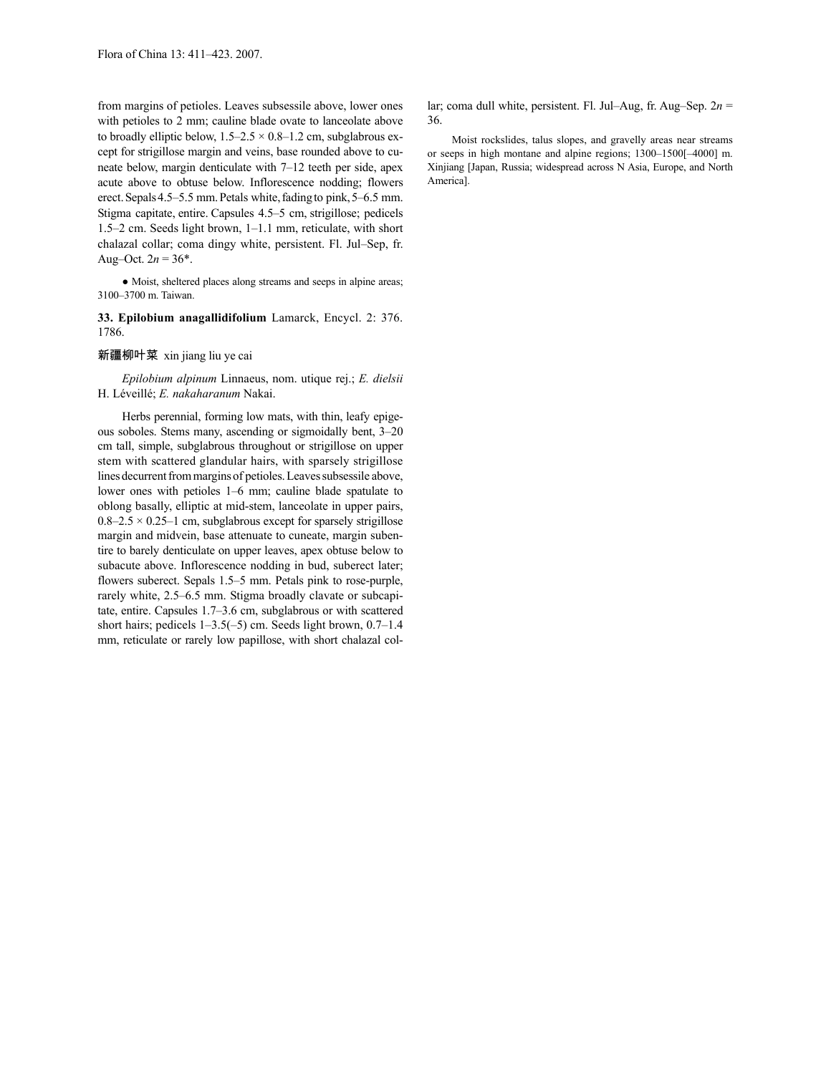from margins of petioles. Leaves subsessile above, lower ones with petioles to 2 mm; cauline blade ovate to lanceolate above to broadly elliptic below,  $1.5-2.5 \times 0.8-1.2$  cm, subglabrous except for strigillose margin and veins, base rounded above to cuneate below, margin denticulate with 7–12 teeth per side, apex acute above to obtuse below. Inflorescence nodding; flowers erect. Sepals 4.5–5.5 mm. Petals white, fading to pink, 5–6.5 mm. Stigma capitate, entire. Capsules 4.5–5 cm, strigillose; pedicels 1.5–2 cm. Seeds light brown, 1–1.1 mm, reticulate, with short chalazal collar; coma dingy white, persistent. Fl. Jul–Sep, fr. Aug–Oct.  $2n = 36^*$ .

● Moist, sheltered places along streams and seeps in alpine areas; 3100–3700 m. Taiwan.

**33. Epilobium anagallidifolium** Lamarck, Encycl. 2: 376. 1786.

#### 新疆柳叶菜 xin jiang liu ye cai

*Epilobium alpinum* Linnaeus, nom. utique rej.; *E. dielsii*  H. Léveillé; *E. nakaharanum* Nakai.

Herbs perennial, forming low mats, with thin, leafy epigeous soboles. Stems many, ascending or sigmoidally bent, 3–20 cm tall, simple, subglabrous throughout or strigillose on upper stem with scattered glandular hairs, with sparsely strigillose lines decurrent from margins of petioles. Leaves subsessile above, lower ones with petioles 1–6 mm; cauline blade spatulate to oblong basally, elliptic at mid-stem, lanceolate in upper pairs,  $0.8-2.5 \times 0.25-1$  cm, subglabrous except for sparsely strigillose margin and midvein, base attenuate to cuneate, margin subentire to barely denticulate on upper leaves, apex obtuse below to subacute above. Inflorescence nodding in bud, suberect later; flowers suberect. Sepals 1.5–5 mm. Petals pink to rose-purple, rarely white, 2.5–6.5 mm. Stigma broadly clavate or subcapitate, entire. Capsules 1.7–3.6 cm, subglabrous or with scattered short hairs; pedicels 1–3.5(–5) cm. Seeds light brown, 0.7–1.4 mm, reticulate or rarely low papillose, with short chalazal collar; coma dull white, persistent. Fl. Jul–Aug, fr. Aug–Sep. 2*n* = 36.

Moist rockslides, talus slopes, and gravelly areas near streams or seeps in high montane and alpine regions; 1300–1500[–4000] m. Xinjiang [Japan, Russia; widespread across N Asia, Europe, and North America].